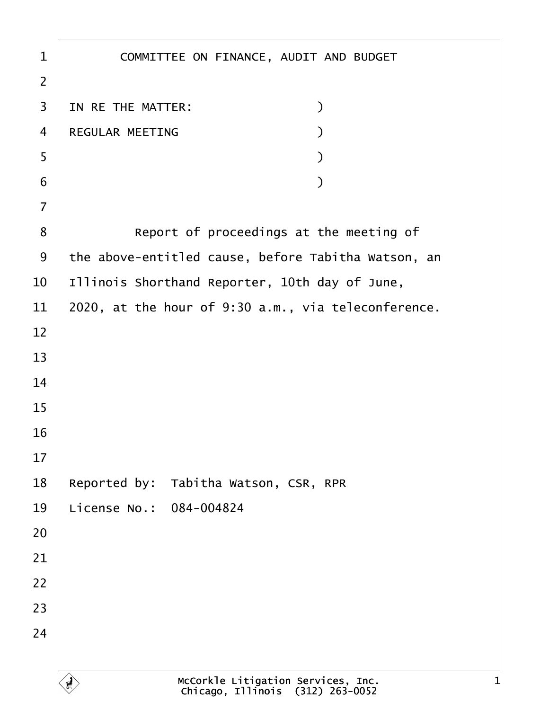| $\mathbf 1$    | COMMITTEE ON FINANCE, AUDIT AND BUDGET              |
|----------------|-----------------------------------------------------|
| $\overline{2}$ |                                                     |
| 3              | IN RE THE MATTER:<br>⟩                              |
| $\overline{4}$ | <b>REGULAR MEETING</b>                              |
| 5              |                                                     |
| 6              |                                                     |
| $\overline{7}$ |                                                     |
| 8              | Report of proceedings at the meeting of             |
| 9              | the above-entitled cause, before Tabitha Watson, an |
| 10             | Illinois Shorthand Reporter, 10th day of June,      |
| 11             | 2020, at the hour of 9:30 a.m., via teleconference. |
| 12             |                                                     |
| 13             |                                                     |
| 14             |                                                     |
| 15             |                                                     |
| 16             |                                                     |
| 17             |                                                     |
| 18             | Reported by: Tabitha Watson, CSR, RPR               |
| 19             | License No.: 084-004824                             |
| 20             |                                                     |
| 21             |                                                     |
| 22             |                                                     |
| 23             |                                                     |
| 24             |                                                     |
|                |                                                     |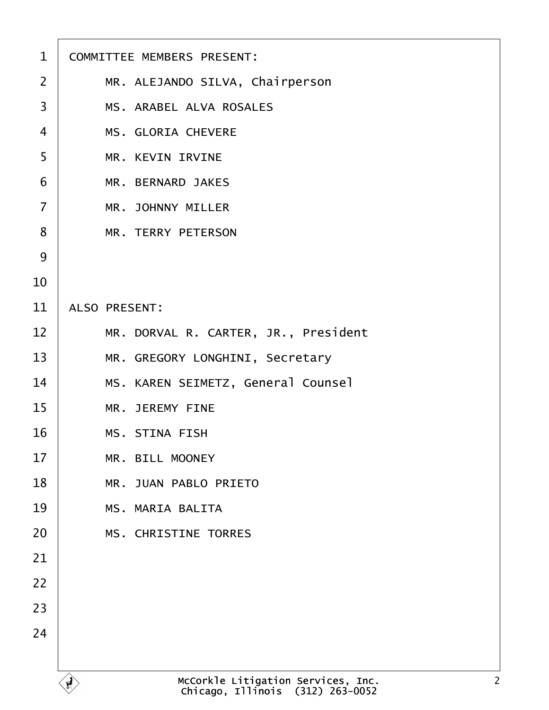| $\mathbf 1$    | <b>COMMITTEE MEMBERS PRESENT:</b>    |
|----------------|--------------------------------------|
| $\overline{2}$ | MR. ALEJANDO SILVA, Chairperson      |
| 3              | <b>MS. ARABEL ALVA ROSALES</b>       |
| 4              | <b>MS. GLORIA CHEVERE</b>            |
| 5              | <b>MR. KEVIN IRVINE</b>              |
| 6              | <b>MR. BERNARD JAKES</b>             |
| $\overline{7}$ | <b>MR. JOHNNY MILLER</b>             |
| 8              | <b>MR. TERRY PETERSON</b>            |
| 9              |                                      |
| 10             |                                      |
| 11             | <b>ALSO PRESENT:</b>                 |
| 12             | MR. DORVAL R. CARTER, JR., President |
| 13             | MR. GREGORY LONGHINI, Secretary      |
| 14             | MS. KAREN SEIMETZ, General Counsel   |
| 15             | <b>MR. JEREMY FINE</b>               |
| 16             | <b>MS. STINA FISH</b>                |
| 17             | <b>MR. BILL MOONEY</b>               |
| 18             | <b>MR. JUAN PABLO PRIETO</b>         |
| 19             | <b>MS. MARIA BALITA</b>              |
| 20             | <b>MS. CHRISTINE TORRES</b>          |
| 21             |                                      |
| 22             |                                      |
| 23             |                                      |
| 24             |                                      |
|                |                                      |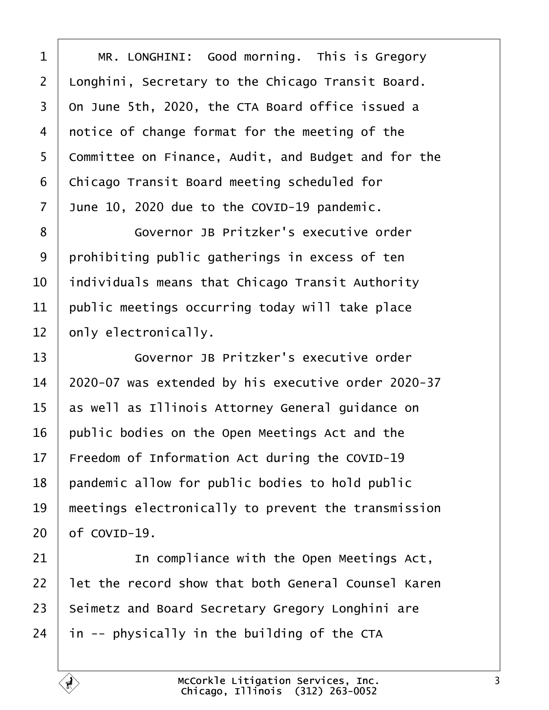<span id="page-2-0"></span>

| 1  | MR. LONGHINI: Good morning. This is Gregory         |
|----|-----------------------------------------------------|
| 2  | Llonghini, Secretary to the Chicago Transit Board.  |
| 3  | On June 5th, 2020, the CTA Board office issued a    |
| 4  | notice of change format for the meeting of the      |
| 5  | Committee on Finance, Audit, and Budget and for the |
| 6  | Chicago Transit Board meeting scheduled for         |
| 7  | June 10, 2020 due to the COVID-19 pandemic.         |
| 8  | Governor JB Pritzker's executive order              |
| 9  | prohibiting public gatherings in excess of ten      |
| 10 | Individuals means that Chicago Transit Authority    |
| 11 | public meetings occurring today will take place     |
| 12 | only electronically.                                |
| 13 | Governor JB Pritzker's executive order              |
| 14 | 2020-07 was extended by his executive order 2020-37 |
| 15 | as well as Illinois Attorney General guidance on    |
| 16 | public bodies on the Open Meetings Act and the      |
| 17 | Freedom of Information Act during the COVID-19      |
| 18 | pandemic allow for public bodies to hold public     |
| 19 | meetings electronically to prevent the transmission |
| 20 | of COVID-19.                                        |
| 21 | In compliance with the Open Meetings Act,           |
| 22 | let the record show that both General Counsel Karen |
| 23 | Seimetz and Board Secretary Gregory Longhini are    |
| 24 | in -- physically in the building of the CTA         |
|    |                                                     |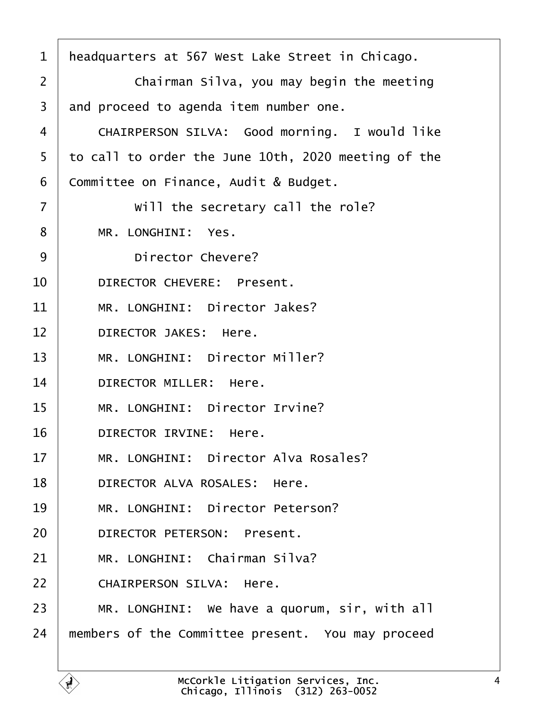<span id="page-3-0"></span>

| 1              | headquarters at 567 West Lake Street in Chicago.    |
|----------------|-----------------------------------------------------|
| $\overline{2}$ | Chairman Silva, you may begin the meeting           |
| 3              | and proceed to agenda item number one.              |
| 4              | CHAIRPERSON SILVA: Good morning. I would like       |
| 5              | to call to order the June 10th, 2020 meeting of the |
| 6              | Committee on Finance, Audit & Budget.               |
| $\overline{7}$ | Will the secretary call the role?                   |
| 8              | MR. LONGHINI: Yes.                                  |
| 9              | Director Chevere?                                   |
| 10             | <b>DIRECTOR CHEVERE: Present.</b>                   |
| 11             | MR. LONGHINI: Director Jakes?                       |
| 12             | <b>DIRECTOR JAKES: Here.</b>                        |
| 13             | MR. LONGHINI: Director Miller?                      |
| 14             | <b>DIRECTOR MILLER: Here.</b>                       |
| 15             | MR. LONGHINI: Director Irvine?                      |
| 16             | <b>DIRECTOR IRVINE: Here.</b>                       |
| 17             | MR. LONGHINI: Director Alva Rosales?                |
| 18             | DIRECTOR ALVA ROSALES: Here.                        |
| 19             | MR. LONGHINI: Director Peterson?                    |
| 20             | <b>DIRECTOR PETERSON: Present.</b>                  |
| 21             | MR. LONGHINI: Chairman Silva?                       |
| 22             | <b>CHAIRPERSON SILVA: Here.</b>                     |
| 23             | MR. LONGHINI: We have a quorum, sir, with all       |
| 24             | members of the Committee present. You may proceed   |
|                |                                                     |

Г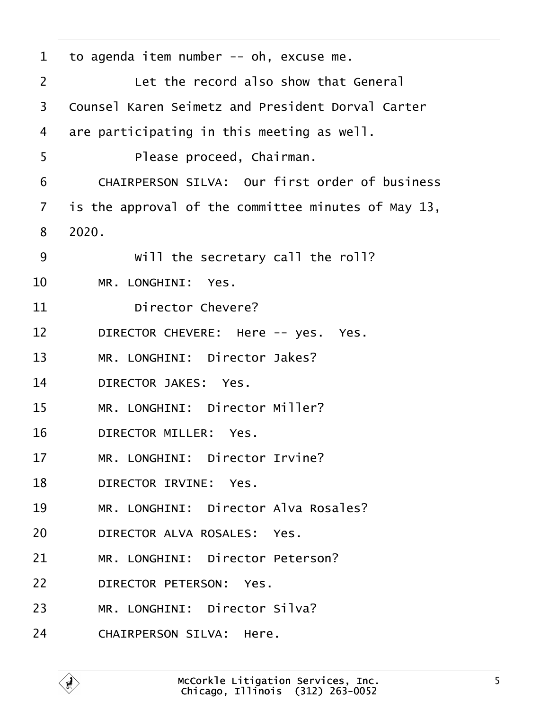<span id="page-4-0"></span>

| 1              | to agenda item number -- oh, excuse me.                  |
|----------------|----------------------------------------------------------|
| 2              | Let the record also show that General                    |
| 3              | <b>Counsel Karen Seimetz and President Dorval Carter</b> |
| 4              | are participating in this meeting as well.               |
| 5              | Please proceed, Chairman.                                |
| 6              | <b>CHAIRPERSON SILVA: Our first order of business</b>    |
| $\overline{7}$ | is the approval of the committee minutes of May 13,      |
| 8              | 2020.                                                    |
| 9              | Will the secretary call the roll?                        |
| 10             | MR. LONGHINI: Yes.                                       |
| 11             | <b>Director Chevere?</b>                                 |
| 12             | DIRECTOR CHEVERE: Here -- yes. Yes.                      |
| 13             | MR. LONGHINI: Director Jakes?                            |
| 14             | <b>DIRECTOR JAKES: Yes.</b>                              |
| 15             | MR. LONGHINI: Director Miller?                           |
| 16             | <b>DIRECTOR MILLER: Yes.</b>                             |
| 17             | MR. LONGHINI: Director Irvine?                           |
| 18             | DIRECTOR IRVINE: Yes.                                    |
| 19             | MR. LONGHINI: Director Alva Rosales?                     |
| 20             | DIRECTOR ALVA ROSALES: Yes.                              |
| 21             | MR. LONGHINI: Director Peterson?                         |
| 22             | DIRECTOR PETERSON: Yes.                                  |
| 23             | MR. LONGHINI: Director Silva?                            |
| 24             | <b>CHAIRPERSON SILVA: Here.</b>                          |
|                |                                                          |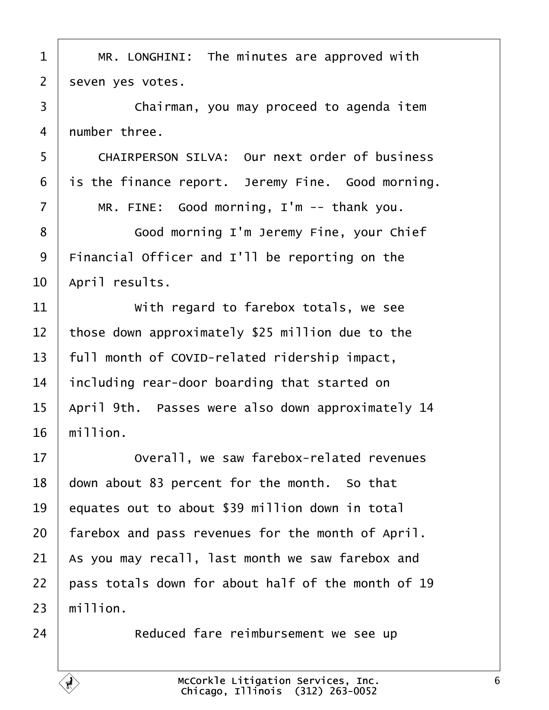<span id="page-5-0"></span>

| 1  | MR. LONGHINI: The minutes are approved with          |
|----|------------------------------------------------------|
| 2  | seven yes votes.                                     |
| 3  | Chairman, you may proceed to agenda item             |
| 4  | number three.                                        |
| 5  | <b>CHAIRPERSON SILVA: Our next order of business</b> |
| 6  | is the finance report. Jeremy Fine. Good morning.    |
| 7  | MR. FINE: Good morning, I'm -- thank you.            |
| 8  | Good morning I'm Jeremy Fine, your Chief             |
| 9  | Financial Officer and I'll be reporting on the       |
| 10 | April results.                                       |
| 11 | With regard to farebox totals, we see                |
| 12 | those down approximately \$25 million due to the     |
| 13 | full month of COVID-related ridership impact,        |
| 14 | including rear-door boarding that started on         |
| 15 | April 9th. Passes were also down approximately 14    |
| 16 | million.                                             |
| 17 | Overall, we saw farebox-related revenues             |
| 18 | down about 83 percent for the month. So that         |
| 19 | equates out to about \$39 million down in total      |
| 20 | farebox and pass revenues for the month of April.    |
| 21 | As you may recall, last month we saw farebox and     |
| 22 | pass totals down for about half of the month of 19   |
| 23 | million.                                             |
| 24 | Reduced fare reimbursement we see up                 |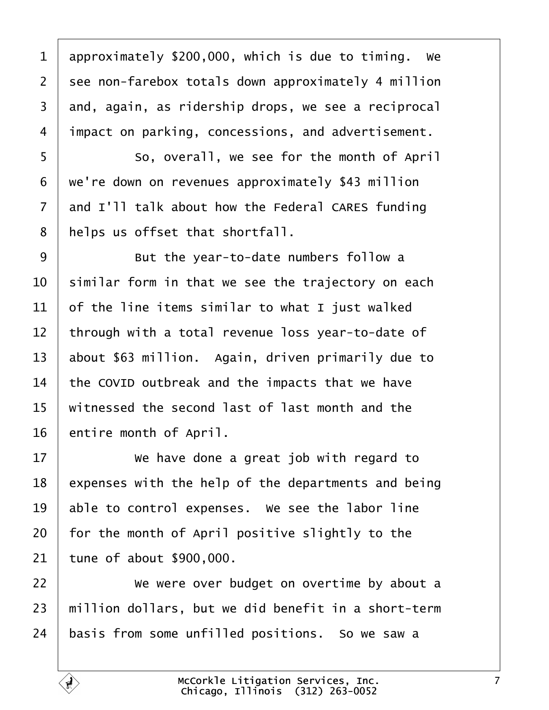<span id="page-6-0"></span>1 approximately \$200,000, which is due to timing. We 2 see non-farebox totals down approximately 4 million 3 and, again, as ridership drops, we see a reciprocal 4 *i*mpact on parking, concessions, and advertisement. 5 **8** So, overall, we see for the month of April ·6· ·we're down on revenues approximately \$43 million 7 and I'll talk about how the Federal CARES funding 8 helps us offset that shortfall. 9 **But the year-to-date numbers follow a** 10 similar form in that we see the trajectory on each 11  $\theta$  of the line items similar to what I just walked 12 through with a total revenue loss year-to-date of 13 about \$63 million. Again, driven primarily due to 14 the COVID outbreak and the impacts that we have 15 witnessed the second last of last month and the 16 entire month of April.  $17 \parallel$  We have done a great job with regard to 18 expenses with the help of the departments and being 19 able to control expenses. We see the labor line 20 for the month of April positive slightly to the 21 tune of about \$900,000. 22 • We were over budget on overtime by about a 23 million dollars, but we did benefit in a short-term 24 basis from some unfilled positions. So we saw a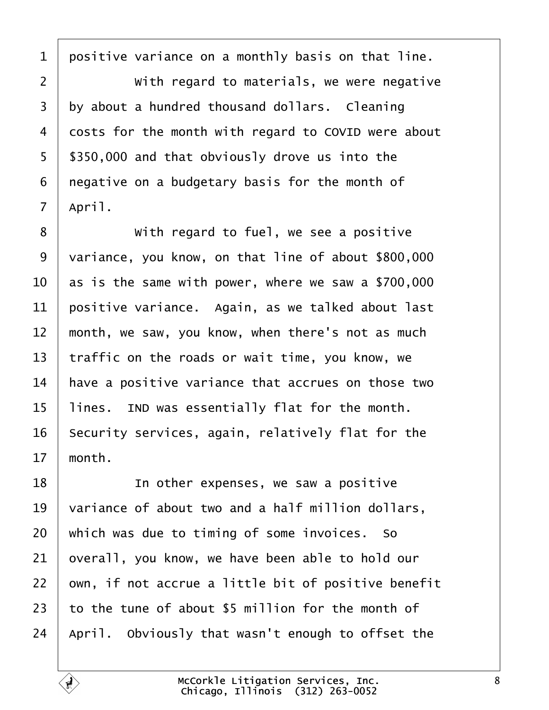<span id="page-7-0"></span>1 positive variance on a monthly basis on that line. 2 **With regard to materials, we were negative** 3 by about a hundred thousand dollars. Cleaning 4 dosts for the month with regard to COVID were about 5 \$350,000 and that obviously drove us into the 6 negative on a budgetary basis for the month of 7 April. 8 **With regard to fuel, we see a positive** 9 variance, you know, on that line of about \$800,000 10  $\,$  as is the same with power, where we saw a \$700,000 11 positive variance. Again, as we talked about last 12 month, we saw, you know, when there's not as much 13 traffic on the roads or wait time, you know, we 14 have a positive variance that accrues on those two 15 lines. IND was essentially flat for the month. 16 Security services, again, relatively flat for the 17 month. 18 **I** In other expenses, we saw a positive 19 variance of about two and a half million dollars, 20 which was due to timing of some invoices. So 21 byerall, you know, we have been able to hold our 22 bwn, if not accrue a little bit of positive benefit 23 to the tune of about \$5 million for the month of 24 April. Obviously that wasn't enough to offset the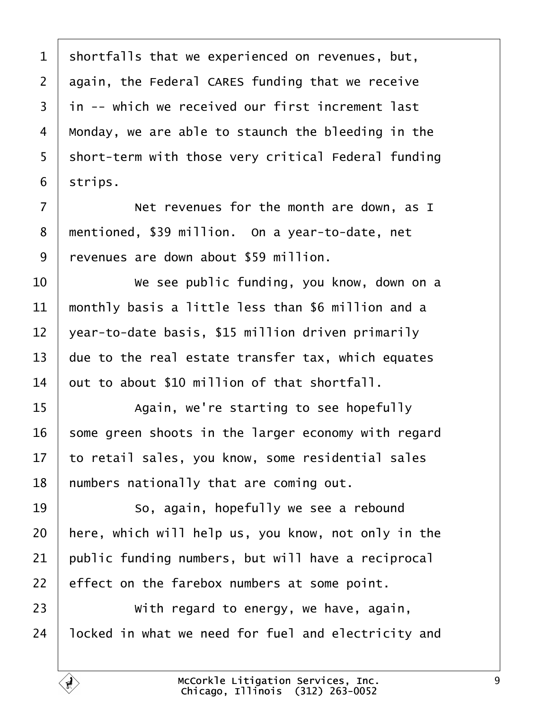<span id="page-8-0"></span>1 shortfalls that we experienced on revenues, but, 2 again, the Federal CARES funding that we receive 3 in -- which we received our first increment last 4 Monday, we are able to staunch the bleeding in the 5 short-term with those very critical Federal funding 6 strips. 7 **Net revenues for the month are down, as I** 8 mentioned, \$39 million. On a year-to-date, net ·9· ·revenues are down about \$59 million. 10 • We see public funding, you know, down on a 11 monthly basis a little less than \$6 million and a 12  $\sqrt{2}$  vear-to-date basis, \$15 million driven primarily 13 due to the real estate transfer tax, which equates 14 but to about \$10 million of that shortfall. 15 | Again, we're starting to see hopefully 16 some green shoots in the larger economy with regard 17 to retail sales, you know, some residential sales 18 humbers nationally that are coming out. 19 **So.** again, hopefully we see a rebound 20 here, which will help us, you know, not only in the 21 **bublic funding numbers, but will have a reciprocal** 22 effect on the farebox numbers at some point.  $23$   $\parallel$  With regard to energy, we have, again, 24 locked in what we need for fuel and electricity and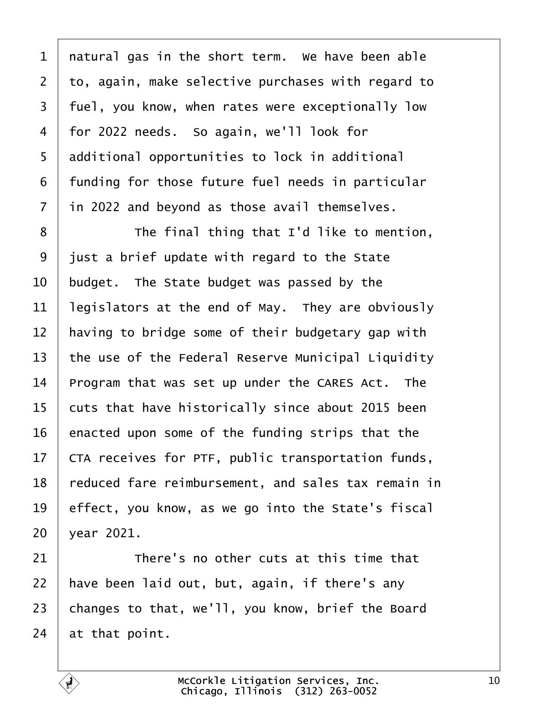<span id="page-9-0"></span>

| 1              | natural gas in the short term. We have been able    |
|----------------|-----------------------------------------------------|
| $\overline{2}$ | to, again, make selective purchases with regard to  |
| 3              | fuel, you know, when rates were exceptionally low   |
| 4              | for 2022 needs. So again, we'll look for            |
| 5              | additional opportunities to lock in additional      |
| 6              | funding for those future fuel needs in particular   |
| 7              | in 2022 and beyond as those avail themselves.       |
| 8              | The final thing that I'd like to mention,           |
| 9              | just a brief update with regard to the State        |
| 10             | budget. The State budget was passed by the          |
| 11             | legislators at the end of May. They are obviously   |
| 12             | having to bridge some of their budgetary gap with   |
| 13             | the use of the Federal Reserve Municipal Liquidity  |
| 14             | Program that was set up under the CARES Act. The    |
| 15             | cuts that have historically since about 2015 been   |
| 16             | enacted upon some of the funding strips that the    |
| 17             | CTA receives for PTF, public transportation funds,  |
| 18             | reduced fare reimbursement, and sales tax remain in |
| 19             | effect, you know, as we go into the State's fiscal  |
| 20             | year 2021.                                          |
| 21             | There's no other cuts at this time that             |
| 22             | have been laid out, but, again, if there's any      |
| 23             | changes to that, we'll, you know, brief the Board   |
| 24             | at that point.                                      |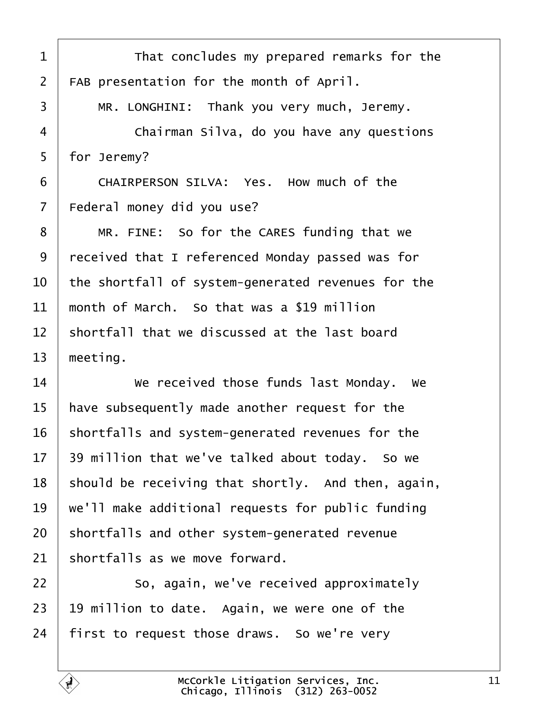<span id="page-10-0"></span>

| 1              | That concludes my prepared remarks for the         |
|----------------|----------------------------------------------------|
| $\overline{2}$ | FAB presentation for the month of April.           |
| 3              | MR. LONGHINI: Thank you very much, Jeremy.         |
| 4              | Chairman Silva, do you have any questions          |
| 5              | for Jeremy?                                        |
| 6              | CHAIRPERSON SILVA: Yes. How much of the            |
| 7              | Federal money did you use?                         |
| 8              | MR. FINE: So for the CARES funding that we         |
| 9              | received that I referenced Monday passed was for   |
| 10             | the shortfall of system-generated revenues for the |
| 11             | month of March. So that was a \$19 million         |
| 12             | shortfall that we discussed at the last board      |
| 13             | meeting.                                           |
| 14             | We received those funds last Monday. We            |
| 15             | have subsequently made another request for the     |
| 16             | shortfalls and system-generated revenues for the   |
| 17             | 39 million that we've talked about today. So we    |
| 18             | should be receiving that shortly. And then, again, |
| 19             | we'll make additional requests for public funding  |
| 20             | shortfalls and other system-generated revenue      |
| 21             | shortfalls as we move forward.                     |
| 22             | So, again, we've received approximately            |
| 23             | 19 million to date. Again, we were one of the      |
| 24             | first to request those draws. So we're very        |
|                |                                                    |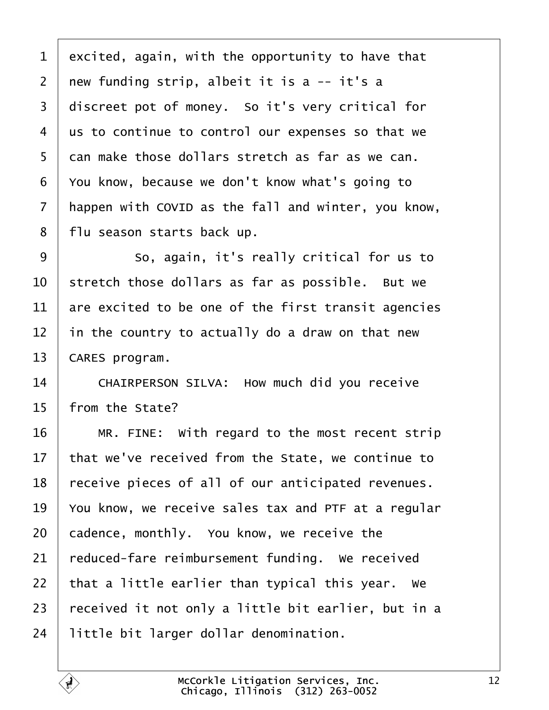- <span id="page-11-0"></span>1 excited, again, with the opportunity to have that
- 2  $\pi$  new funding strip, albeit it is a  $-$  it's a
- 3 discreet pot of money. So it's very critical for
- 4 us to continue to control our expenses so that we
- 5 dan make those dollars stretch as far as we can.
- ·6· ·You know, because we don't know what's going to
- 7 happen with COVID as the fall and winter, you know,
- 8 flu season starts back up.
- 9 **8** So, again, it's really critical for us to
- 10 stretch those dollars as far as possible. But we
- 11 are excited to be one of the first transit agencies
- 12 in the country to actually do a draw on that new
- 13 **CARES** program.
- 14 | CHAIRPERSON SILVA: How much did you receive
- 15 from the State?
- 16  $\parallel$  MR. FINE: With regard to the most recent strip
- 17 that we've received from the State, we continue to
- 18 receive pieces of all of our anticipated revenues.
- 19 You know, we receive sales tax and PTF at a regular
- 20 cadence, monthly. You know, we receive the
- 21 reduced-fare reimbursement funding. We received
- 22 that a little earlier than typical this year. We
- 23 received it not only a little bit earlier, but in a
- 24 little bit larger dollar denomination.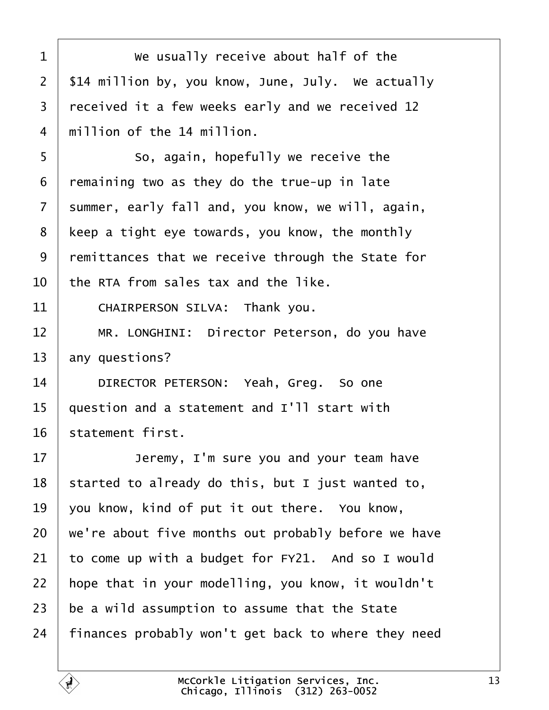<span id="page-12-0"></span>

| 1              | We usually receive about half of the                |
|----------------|-----------------------------------------------------|
| $\overline{2}$ | \$14 million by, you know, June, July. We actually  |
| 3              | received it a few weeks early and we received 12    |
| 4              | million of the 14 million.                          |
| 5              | So, again, hopefully we receive the                 |
| 6              | remaining two as they do the true-up in late        |
| 7              | summer, early fall and, you know, we will, again,   |
| 8              | keep a tight eye towards, you know, the monthly     |
| 9              | remittances that we receive through the State for   |
| 10             | the RTA from sales tax and the like.                |
| 11             | CHAIRPERSON SILVA: Thank you.                       |
| 12             | MR. LONGHINI: Director Peterson, do you have        |
| 13             | any questions?                                      |
| 14             | DIRECTOR PETERSON: Yeah, Greg. So one               |
| 15             | question and a statement and I'll start with        |
| 16             | statement first.                                    |
| 17             | Jeremy, I'm sure you and your team have             |
| 18             | started to already do this, but I just wanted to,   |
| 19             | you know, kind of put it out there. You know,       |
| 20             | we're about five months out probably before we have |
| 21             | to come up with a budget for FY21. And so I would   |
| 22             | hope that in your modelling, you know, it wouldn't  |
| 23             | be a wild assumption to assume that the State       |
| 24             | finances probably won't get back to where they need |
|                |                                                     |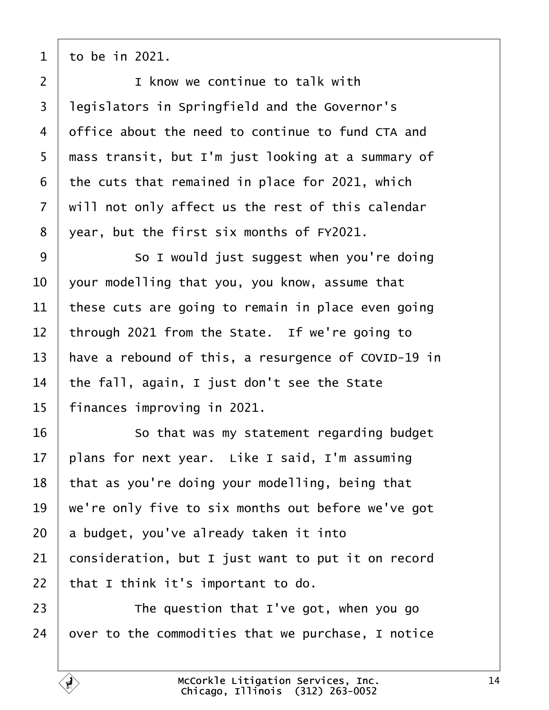<span id="page-13-0"></span>·1· ·to be in 2021.

2 | I know we continue to talk with 3 legislators in Springfield and the Governor's 4 diffice about the need to continue to fund CTA and 5 mass transit, but I'm just looking at a summary of 6 the cuts that remained in place for 2021, which 7 will not only affect us the rest of this calendar 8 year, but the first six months of FY2021. 9 **So I would just suggest when you're doing** 10 vour modelling that you, you know, assume that 11 these cuts are going to remain in place even going 12 through 2021 from the State. If we're going to 13 have a rebound of this, a resurgence of COVID-19 in 14 the fall, again, I just don't see the State 15 finances improving in 2021. 16 **So that was my statement regarding budget** 17 blans for next year. Like I said, I'm assuming 18 that as you're doing your modelling, being that 19 we're only five to six months out before we've got 20 a budget, you've already taken it into 21 consideration, but I just want to put it on record 22  $\cdot$  that I think it's important to do.  $23$   $\parallel$  The question that I've got, when you go 24 by out to the commodities that we purchase, I notice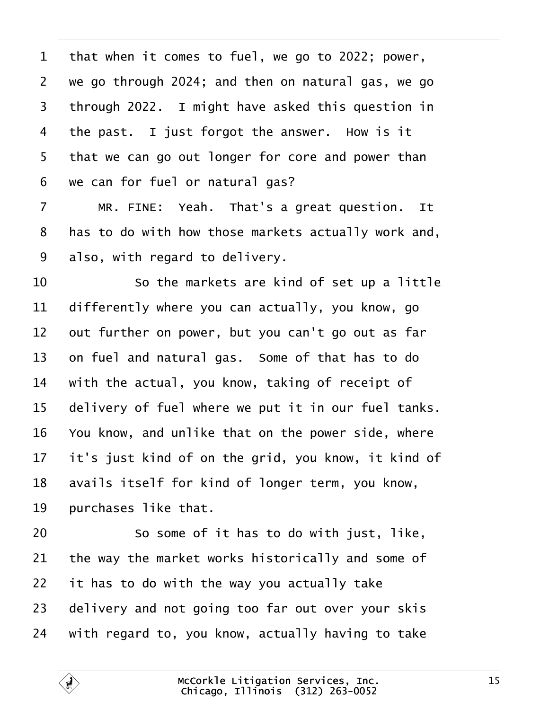<span id="page-14-0"></span>

| 1               | that when it comes to fuel, we go to 2022; power,   |
|-----------------|-----------------------------------------------------|
| $\overline{2}$  | we go through 2024; and then on natural gas, we go  |
| 3               | through 2022. I might have asked this question in   |
| 4               | the past. I just forgot the answer. How is it       |
| 5               | that we can go out longer for core and power than   |
| 6               | we can for fuel or natural gas?                     |
| $\overline{7}$  | MR. FINE: Yeah. That's a great question. It         |
| 8               | has to do with how those markets actually work and, |
| 9               | also, with regard to delivery.                      |
| 10              | So the markets are kind of set up a little          |
| 11              | differently where you can actually, you know, go    |
| 12 <sub>2</sub> | out further on power, but you can't go out as far   |
| 13              | on fuel and natural gas. Some of that has to do     |
| 14              | with the actual, you know, taking of receipt of     |
| 15              | delivery of fuel where we put it in our fuel tanks. |
| 16              | You know, and unlike that on the power side, where  |
| 17              | it's just kind of on the grid, you know, it kind of |
| 18              | avails itself for kind of longer term, you know,    |
| 19              | purchases like that.                                |
| 20              | So some of it has to do with just, like,            |
| 21              | the way the market works historically and some of   |
| 22              | it has to do with the way you actually take         |
| 23              | delivery and not going too far out over your skis   |
| 24              | with regard to, you know, actually having to take   |
|                 |                                                     |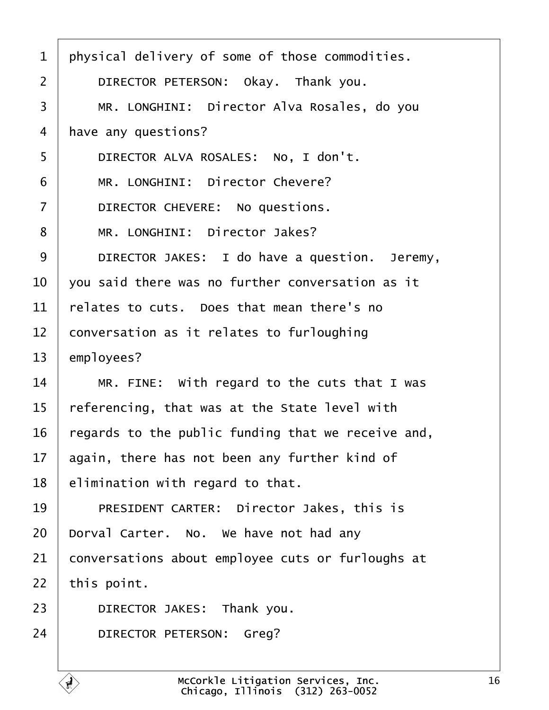<span id="page-15-0"></span>1 physical delivery of some of those commodities. 2 | DIRECTOR PETERSON: Okay. Thank you. 3 | MR. LONGHINI: Director Alva Rosales, do you 4 have any questions? 5 | DIRECTOR ALVA ROSALES: No, I don't. 6 | MR. LONGHINI: Director Chevere?  $7$  | DIRECTOR CHEVERE: No questions. 8 | MR. LONGHINI: Director Jakes? 9 | DIRECTOR JAKES: I do have a question. Jeremy, 10 vou said there was no further conversation as it 11  $\frac{1}{1}$  relates to cuts. Does that mean there's no 12 conversation as it relates to furloughing 13 employees? 14  $\parallel$  MR. FINE: With regard to the cuts that I was 15 referencing, that was at the State level with 16 regards to the public funding that we receive and, 17 again, there has not been any further kind of 18 **elimination with regard to that.** 19 | PRESIDENT CARTER: Director Jakes, this is 20 Dorval Carter. No. We have not had any 21 conversations about employee cuts or furloughs at 22 this point. 23 | DIRECTOR JAKES: Thank you. 24 | DIRECTOR PETERSON: Greg?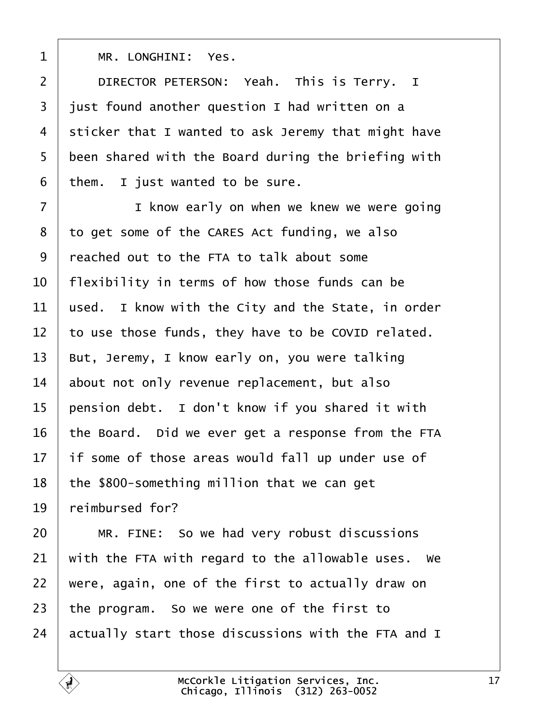<span id="page-16-0"></span>

| 1              | MR. LONGHINI: Yes.                                  |
|----------------|-----------------------------------------------------|
| $\overline{2}$ | DIRECTOR PETERSON: Yeah. This is Terry. I           |
| 3              | just found another question I had written on a      |
| 4              | sticker that I wanted to ask Jeremy that might have |
| 5              | been shared with the Board during the briefing with |
| 6              | them. I just wanted to be sure.                     |
| $\overline{7}$ | I know early on when we knew we were going          |
| 8              | to get some of the CARES Act funding, we also       |
| 9              | reached out to the FTA to talk about some           |
| 10             | flexibility in terms of how those funds can be      |
| 11             | used. I know with the City and the State, in order  |
| 12             | to use those funds, they have to be COVID related.  |
| 13             | But, Jeremy, I know early on, you were talking      |
| 14             | about not only revenue replacement, but also        |
| 15             | pension debt. I don't know if you shared it with    |
| 16             | the Board. Did we ever get a response from the FTA  |
| 17             | if some of those areas would fall up under use of   |
| 18             | the \$800-something million that we can get         |
| 19             | reimbursed for?                                     |
| 20             | MR. FINE: So we had very robust discussions         |
| 21             | with the FTA with regard to the allowable uses. We  |
| 22             | were, again, one of the first to actually draw on   |
| 23             | the program. So we were one of the first to         |
| 24             | actually start those discussions with the FTA and I |
|                |                                                     |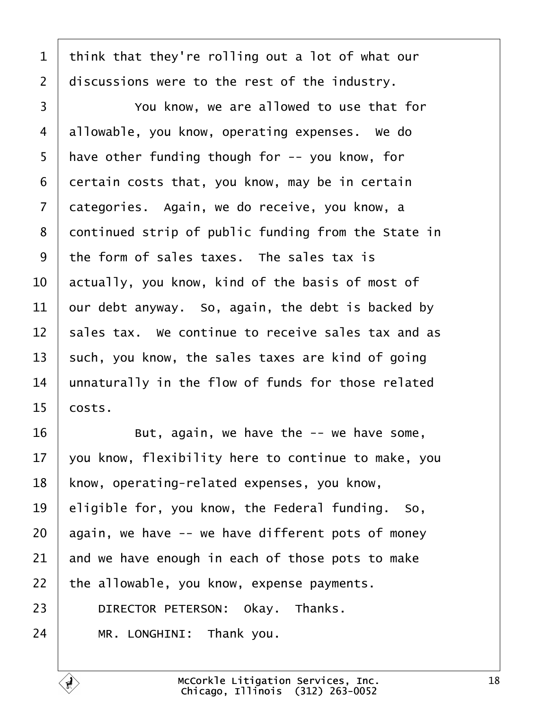<span id="page-17-0"></span>1 think that they're rolling out a lot of what our 2 discussions were to the rest of the industry. 3 **Fig.** You know, we are allowed to use that for 4 dilowable, you know, operating expenses. We do 5 have other funding though for -- you know, for 6 dertain costs that, you know, may be in certain 7 dategories. Again, we do receive, you know, a 8 dontinued strip of public funding from the State in 9 the form of sales taxes. The sales tax is 10 actually, you know, kind of the basis of most of 11  $\theta$  bur debt anyway. So, again, the debt is backed by 12 sales tax. We continue to receive sales tax and as 13 such, you know, the sales taxes are kind of going 14 unnaturally in the flow of funds for those related  $15$  costs. 16 **But, again, we have the -- we have some,** 17  $\sqrt{v}$  you know, flexibility here to continue to make, you 18 know, operating-related expenses, you know, 19 eligible for, you know, the Federal funding. So, 20 again, we have -- we have different pots of money 21 and we have enough in each of those pots to make 22 the allowable, you know, expense payments. 23 | DIRECTOR PETERSON: Okay. Thanks. 24 | MR. LONGHINI: Thank you.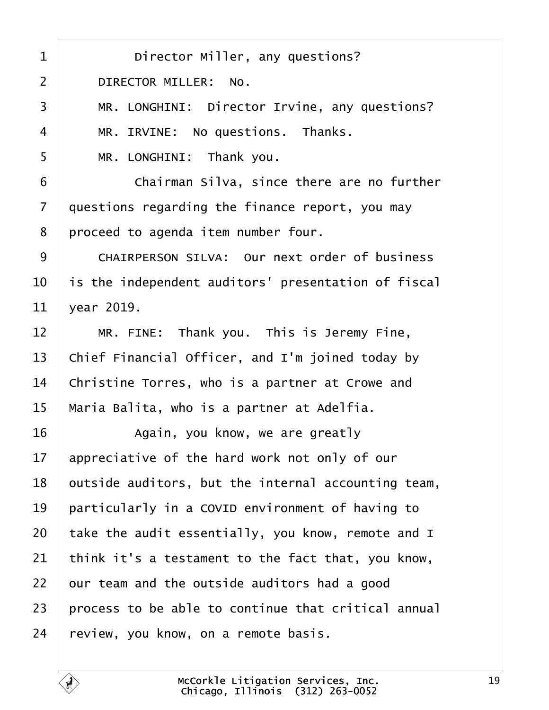<span id="page-18-0"></span>

| 1              | Director Miller, any questions?                      |
|----------------|------------------------------------------------------|
| $\overline{2}$ | DIRECTOR MILLER: No.                                 |
| 3              | MR. LONGHINI: Director Irvine, any questions?        |
| 4              | MR. IRVINE: No questions. Thanks.                    |
| 5              | MR. LONGHINI: Thank you.                             |
| 6              | Chairman Silva, since there are no further           |
| $\overline{7}$ | questions regarding the finance report, you may      |
| 8              | proceed to agenda item number four.                  |
| 9              | <b>CHAIRPERSON SILVA: Our next order of business</b> |
| 10             | is the independent auditors' presentation of fiscal  |
| 11             | vear 2019.                                           |
| 12             | MR. FINE: Thank you. This is Jeremy Fine,            |
| 13             | Chief Financial Officer, and I'm joined today by     |
| 14             | Christine Torres, who is a partner at Crowe and      |
| 15             | Maria Balita, who is a partner at Adelfia.           |
| 16             | Again, you know, we are greatly                      |
| 17             | appreciative of the hard work not only of our        |
| 18             | putside auditors, but the internal accounting team,  |
| 19             | particularly in a COVID environment of having to     |
| 20             | take the audit essentially, you know, remote and I   |
| 21             | think it's a testament to the fact that, you know,   |
| 22             | bur team and the outside auditors had a good         |
| 23             | process to be able to continue that critical annual  |
| 24             | review, you know, on a remote basis.                 |
|                |                                                      |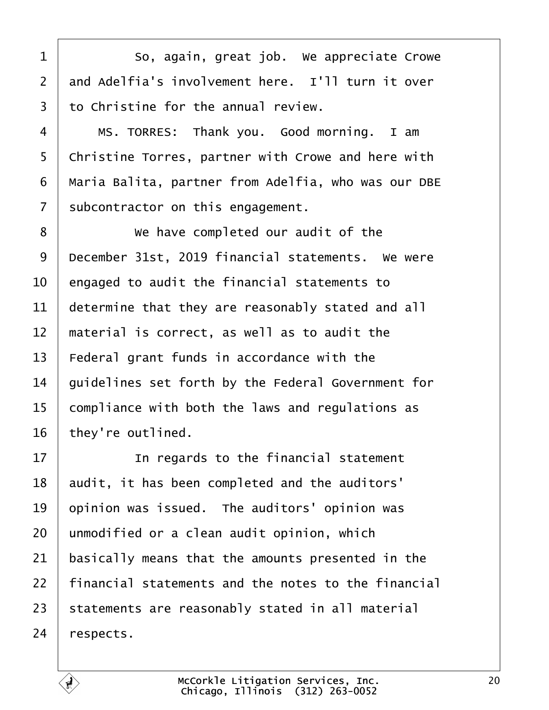<span id="page-19-0"></span>

| 1              | So, again, great job. We appreciate Crowe           |
|----------------|-----------------------------------------------------|
| 2              | and Adelfia's involvement here. I'll turn it over   |
| 3              | to Christine for the annual review.                 |
| 4              | MS. TORRES: Thank you. Good morning. I am           |
| 5              | Christine Torres, partner with Crowe and here with  |
| 6              | Maria Balita, partner from Adelfia, who was our DBE |
| $\overline{7}$ | subcontractor on this engagement.                   |
| 8              | We have completed our audit of the                  |
| 9              | December 31st, 2019 financial statements. We were   |
| 10             | engaged to audit the financial statements to        |
| 11             | determine that they are reasonably stated and all   |
| 12             | material is correct, as well as to audit the        |
| 13             | Federal grant funds in accordance with the          |
| 14             | guidelines set forth by the Federal Government for  |
| 15             | compliance with both the laws and regulations as    |
| 16             | they're outlined.                                   |
| 17             | In regards to the financial statement               |
| 18             | audit, it has been completed and the auditors'      |
| 19             | opinion was issued. The auditors' opinion was       |
| 20             | unmodified or a clean audit opinion, which          |
| 21             | basically means that the amounts presented in the   |
| 22             | financial statements and the notes to the financial |
| 23             | statements are reasonably stated in all material    |
| 24             | respects.                                           |

 $\sqrt{ }$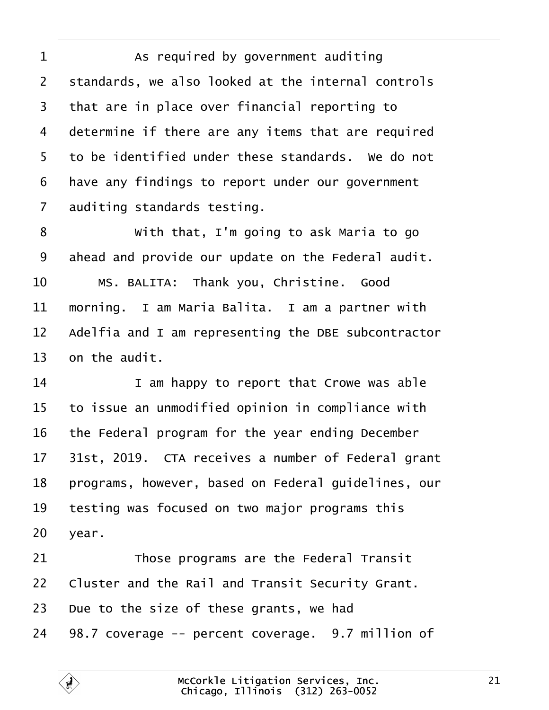<span id="page-20-0"></span>1 | As required by government auditing 2 standards, we also looked at the internal controls 3 that are in place over financial reporting to 4 determine if there are any items that are required 5 to be identified under these standards. We do not 6 Have any findings to report under our government 7 auditing standards testing. 8 **With that, I'm going to ask Maria to go** 9 ahead and provide our update on the Federal audit. 10 | MS. BALITA: Thank you, Christine. Good 11 morning. I am Maria Balita. I am a partner with 12 Adelfia and I am representing the DBE subcontractor 13 bn the audit. 14 **I** am happy to report that Crowe was able 15 to issue an unmodified opinion in compliance with 16 the Federal program for the year ending December 17 31st, 2019. CTA receives a number of Federal grant 18 programs, however, based on Federal guidelines, our 19 testing was focused on two major programs this  $20$  vear. 21 **Those programs are the Federal Transit** 22 Cluster and the Rail and Transit Security Grant. 23 Due to the size of these grants, we had 24 98.7 coverage -- percent coverage. 9.7 million of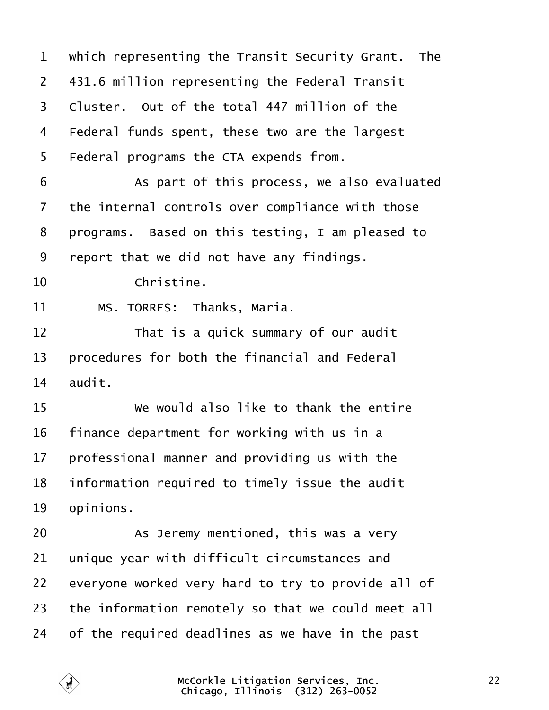<span id="page-21-0"></span>

| 1  | which representing the Transit Security Grant. The |
|----|----------------------------------------------------|
| 2  | 431.6 million representing the Federal Transit     |
| 3  | Cluster. Out of the total 447 million of the       |
| 4  | Federal funds spent, these two are the largest     |
| 5  | Federal programs the CTA expends from.             |
| 6  | As part of this process, we also evaluated         |
| 7  | the internal controls over compliance with those   |
| 8  | programs. Based on this testing, I am pleased to   |
| 9  | report that we did not have any findings.          |
| 10 | Christine.                                         |
| 11 | MS. TORRES: Thanks, Maria.                         |
| 12 | That is a quick summary of our audit               |
| 13 | procedures for both the financial and Federal      |
| 14 | audit.                                             |
| 15 | We would also like to thank the entire             |
| 16 | finance department for working with us in a        |
| 17 | professional manner and providing us with the      |
| 18 | information required to timely issue the audit     |
| 19 | opinions.                                          |
| 20 | As Jeremy mentioned, this was a very               |
| 21 | unique year with difficult circumstances and       |
| 22 | everyone worked very hard to try to provide all of |
| 23 | the information remotely so that we could meet all |
| 24 | of the required deadlines as we have in the past   |
|    |                                                    |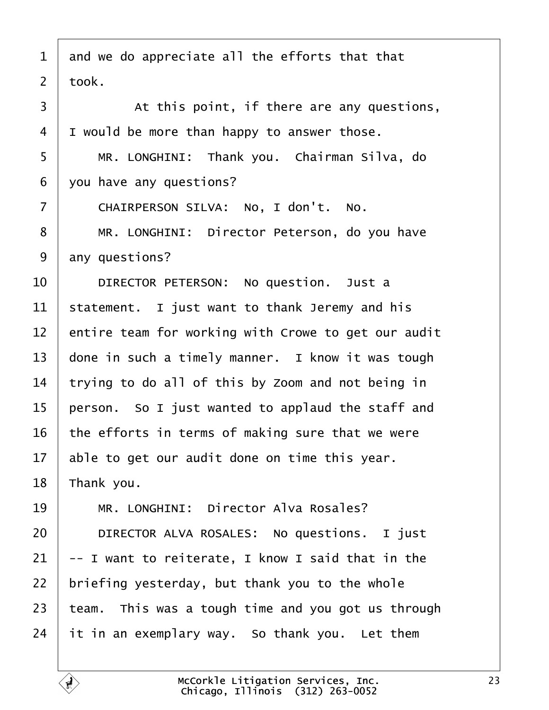- <span id="page-22-0"></span>1 and we do appreciate all the efforts that that
- 2 tbok.
- 3 At this point, if there are any questions, 4 I would be more than happy to answer those. 5 | MR. LONGHINI: Thank you. Chairman Silva, do
- 6 you have any questions?
- 7 | CHAIRPERSON SILVA: No, I don't. No.
- 8 | MR. LONGHINI: Director Peterson, do you have
- 9 any questions?
- 10 | DIRECTOR PETERSON: No question. Just a
- 11 statement. I just want to thank Jeremy and his
- 12 entire team for working with Crowe to get our audit
- 13 done in such a timely manner. I know it was tough
- 14 trying to do all of this by Zoom and not being in
- 15 person. So I just wanted to applaud the staff and
- 16 the efforts in terms of making sure that we were
- 17 able to get our audit done on time this year.
- 18  $\overline{\ }$  Thank you.
- 19 | MR. LONGHINI: Director Alva Rosales?
- 20 | DIRECTOR ALVA ROSALES: No questions. I just
- $21 + I$  want to reiterate, I know I said that in the
- 22 briefing yesterday, but thank you to the whole
- 23 team. This was a tough time and you got us through
- 24  $\,$  it in an exemplary way. So thank you. Let them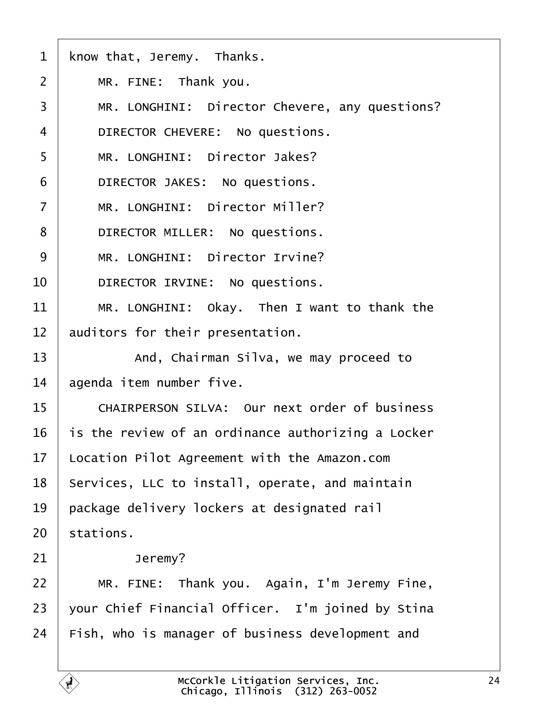<span id="page-23-0"></span>

|  |  |  | 1 know that, Jeremy. Thanks. |  |
|--|--|--|------------------------------|--|
|--|--|--|------------------------------|--|

- $2$  | MR. FINE: Thank you.
- 3 | MR. LONGHINI: Director Chevere, any questions?
- 4 | DIRECTOR CHEVERE: No questions.
- 5 | MR. LONGHINI: Director Jakes?
- 6 | DIRECTOR JAKES: No questions.
- 7 | MR. LONGHINI: Director Miller?
- 8 | DIRECTOR MILLER: No questions.
- 9 | MR. LONGHINI: Director Irvine?
- 10 | DIRECTOR IRVINE: No questions.
- 11 | MR. LONGHINI: Okay. Then I want to thank the
- 12 auditors for their presentation.
- 13 | And, Chairman Silva, we may proceed to
- 14 **agenda item number five.**
- 15 | CHAIRPERSON SILVA: Our next order of business
- 16 is the review of an ordinance authorizing a Locker
- 17 Location Pilot Agreement with the Amazon.com
- 18 Services, LLC to install, operate, and maintain
- 19 **package delivery lockers at designated rail**
- 20 stations.
- $21$  Jeremy?
- 22 | MR. FINE: Thank you. Again, I'm Jeremy Fine,
- 23  $\sqrt{2}$  vour Chief Financial Officer. I'm joined by Stina
- 24 Fish, who is manager of business development and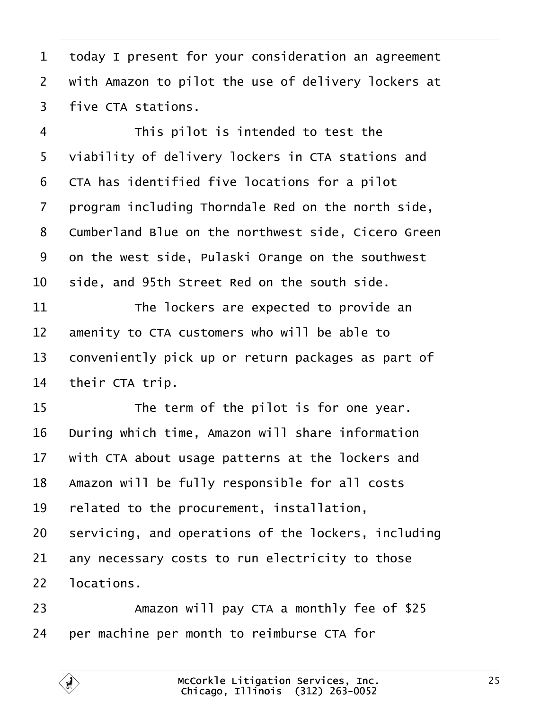<span id="page-24-0"></span>

| 1              | today I present for your consideration an agreement        |
|----------------|------------------------------------------------------------|
| $\overline{2}$ | with Amazon to pilot the use of delivery lockers at        |
| 3              | five CTA stations.                                         |
| 4              | This pilot is intended to test the                         |
| 5              | viability of delivery lockers in CTA stations and          |
| 6              | <b>CTA</b> has identified five locations for a pilot       |
| $\overline{7}$ | program including Thorndale Red on the north side,         |
| 8              | <b>Cumberland Blue on the northwest side, Cicero Green</b> |
| 9              | on the west side, Pulaski Orange on the southwest          |
| 10             | side, and 95th Street Red on the south side.               |
| 11             | The lockers are expected to provide an                     |
| 12             | amenity to CTA customers who will be able to               |
| 13             | conveniently pick up or return packages as part of         |
| 14             | their CTA trip.                                            |
| 15             | The term of the pilot is for one year.                     |
| 16             | During which time, Amazon will share information           |
| 17             | with CTA about usage patterns at the lockers and           |
| 18             | Amazon will be fully responsible for all costs             |
| 19             | related to the procurement, installation,                  |
| 20             | servicing, and operations of the lockers, including        |
| 21             | any necessary costs to run electricity to those            |
| 22             | locations.                                                 |
| 23             | Amazon will pay CTA a monthly fee of \$25                  |
| 24             | per machine per month to reimburse CTA for                 |
|                |                                                            |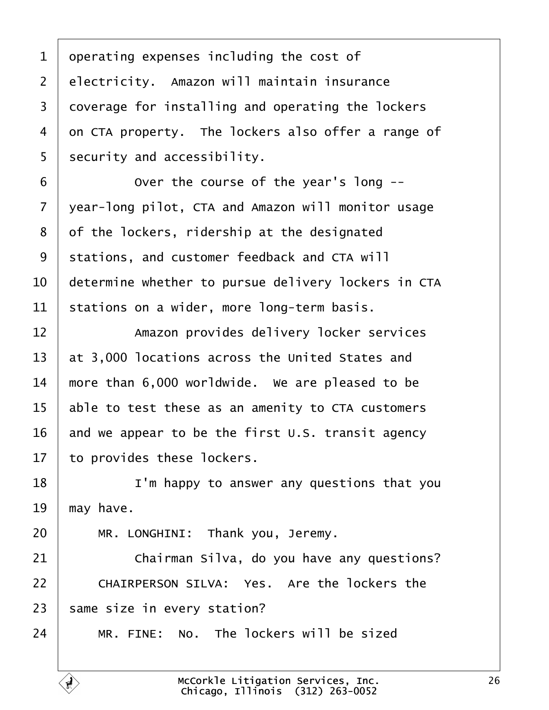- <span id="page-25-0"></span>1 deperating expenses including the cost of
- 2 electricity. Amazon will maintain insurance
- 3 doverage for installing and operating the lockers
- 4 on CTA property. The lockers also offer a range of
- 5 security and accessibility.
- 6 **b Over the course of the year's long --**
- 7 vear-long pilot, CTA and Amazon will monitor usage
- 8 of the lockers, ridership at the designated
- 9 stations, and customer feedback and CTA will
- 10 determine whether to pursue delivery lockers in CTA
- 11 stations on a wider, more long-term basis.
- 12 **Amazon provides delivery locker services**
- 13 at 3,000 locations across the United States and
- 14 more than 6,000 worldwide. We are pleased to be
- 15 able to test these as an amenity to CTA customers
- 16 and we appear to be the first U.S. transit agency
- 17 to provides these lockers.
- 18 **I** I'm happy to answer any questions that you
- 19 may have.
- 20 | MR. LONGHINI: Thank you, Jeremy.
- 21 **Chairman Silva, do you have any questions?**
- 22 | CHAIRPERSON SILVA: Yes. Are the lockers the
- 23 same size in every station?
- $24$  | MR. FINE: No. The lockers will be sized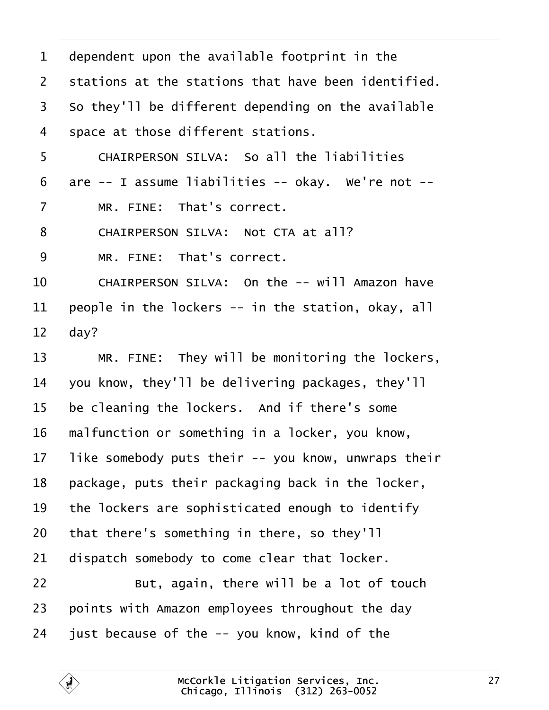<span id="page-26-0"></span>

| 1              | dependent upon the available footprint in the       |
|----------------|-----------------------------------------------------|
| 2              | stations at the stations that have been identified. |
| 3              | So they'll be different depending on the available  |
| 4              | space at those different stations.                  |
| 5              | <b>CHAIRPERSON SILVA: So all the liabilities</b>    |
| 6              | are -- I assume liabilities -- okay. We're not --   |
| $\overline{7}$ | MR. FINE: That's correct.                           |
| 8              | CHAIRPERSON SILVA: Not CTA at all?                  |
| 9              | MR. FINE: That's correct.                           |
| 10             | CHAIRPERSON SILVA: On the -- will Amazon have       |
| 11             | people in the lockers -- in the station, okay, all  |
| 12             | day?                                                |
| 13             | MR. FINE: They will be monitoring the lockers,      |
| 14             | you know, they'll be delivering packages, they'll   |
| 15             | be cleaning the lockers. And if there's some        |
| 16             | malfunction or something in a locker, you know,     |
| 17             | like somebody puts their -- you know, unwraps their |
| 18             | package, puts their packaging back in the locker,   |
| 19             | the lockers are sophisticated enough to identify    |
| 20             | that there's something in there, so they'll         |
| 21             | dispatch somebody to come clear that locker.        |
| 22             | But, again, there will be a lot of touch            |
| 23             | points with Amazon employees throughout the day     |
| 24             | just because of the -- you know, kind of the        |
|                |                                                     |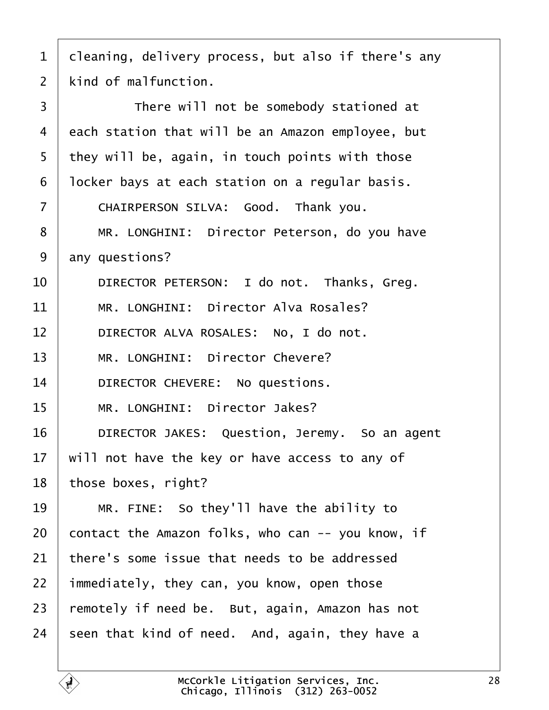<span id="page-27-0"></span>

|  | 1 deaning, delivery process, but also if there's any |  |  |  |  |  |
|--|------------------------------------------------------|--|--|--|--|--|
|--|------------------------------------------------------|--|--|--|--|--|

2  $\,$  kind of malfunction.

 $\overline{\phantom{a}}$ 

| 3  | There will not be somebody stationed at           |
|----|---------------------------------------------------|
| 4  | each station that will be an Amazon employee, but |
| 5  | they will be, again, in touch points with those   |
| 6  | Incker bays at each station on a regular basis.   |
| 7  | CHAIRPERSON SILVA: Good. Thank you.               |
| 8  | MR. LONGHINI: Director Peterson, do you have      |
| 9  | any questions?                                    |
| 10 | DIRECTOR PETERSON: I do not. Thanks, Greg.        |
| 11 | MR. LONGHINI: Director Alva Rosales?              |
| 12 | DIRECTOR ALVA ROSALES: No, I do not.              |
| 13 | MR. LONGHINI: Director Chevere?                   |
| 14 | DIRECTOR CHEVERE: No questions.                   |
| 15 | MR. LONGHINI: Director Jakes?                     |
| 16 | DIRECTOR JAKES: Question, Jeremy. So an agent     |
| 17 | will not have the key or have access to any of    |
| 18 | those boxes, right?                               |
| 19 | MR. FINE: So they'll have the ability to          |
| 20 | contact the Amazon folks, who can -- you know, if |
| 21 | there's some issue that needs to be addressed     |
| 22 | immediately, they can, you know, open those       |
| 23 | remotely if need be. But, again, Amazon has not   |
| 24 | seen that kind of need. And, again, they have a   |
|    |                                                   |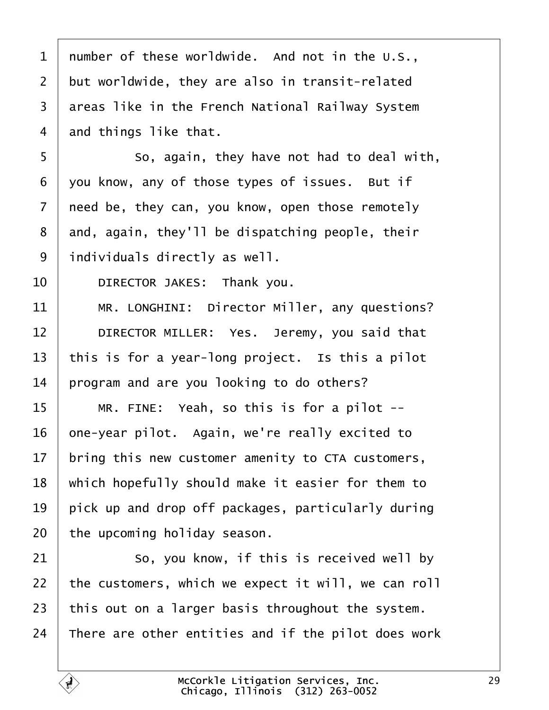<span id="page-28-0"></span>

| 1              | number of these worldwide. And not in the U.S.,     |
|----------------|-----------------------------------------------------|
| $\overline{2}$ | but worldwide, they are also in transit-related     |
| 3              | areas like in the French National Railway System    |
| 4              | and things like that.                               |
| 5              | So, again, they have not had to deal with,          |
| 6              | you know, any of those types of issues. But if      |
| $\overline{7}$ | need be, they can, you know, open those remotely    |
| 8              | and, again, they'll be dispatching people, their    |
| 9              | individuals directly as well.                       |
| 10             | DIRECTOR JAKES: Thank you.                          |
| 11             | MR. LONGHINI: Director Miller, any questions?       |
| 12             | DIRECTOR MILLER: Yes. Jeremy, you said that         |
| 13             | this is for a year-long project. Is this a pilot    |
| 14             | program and are you looking to do others?           |
| 15             | MR. FINE: Yeah, so this is for a pilot --           |
| 16             | one-year pilot. Again, we're really excited to      |
| 17             | bring this new customer amenity to CTA customers,   |
| 18             | which hopefully should make it easier for them to   |
| 19             | pick up and drop off packages, particularly during  |
| 20             | the upcoming holiday season.                        |
| 21             | So, you know, if this is received well by           |
| 22             | the customers, which we expect it will, we can roll |
| 23             | this out on a larger basis throughout the system.   |
| 24             | There are other entities and if the pilot does work |
|                |                                                     |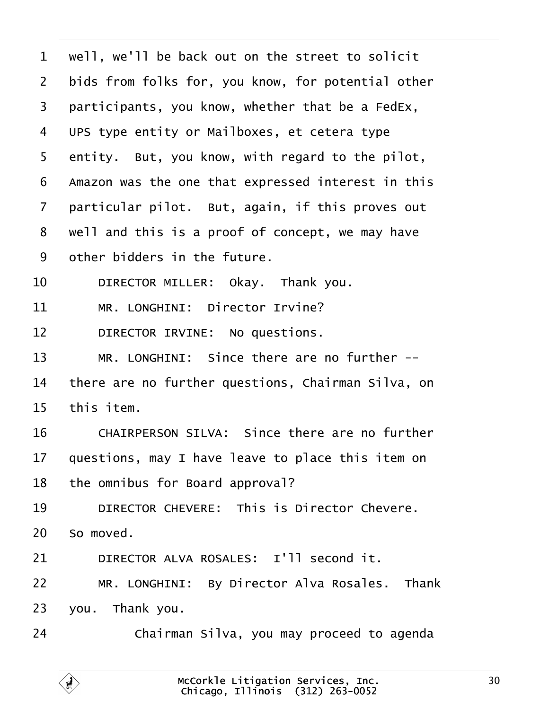<span id="page-29-0"></span>

| 1              | well, we'll be back out on the street to solicit   |
|----------------|----------------------------------------------------|
| $\overline{2}$ | bids from folks for, you know, for potential other |
| 3              | participants, you know, whether that be a FedEx,   |
| 4              | UPS type entity or Mailboxes, et cetera type       |
| 5              | entity. But, you know, with regard to the pilot,   |
| 6              | Amazon was the one that expressed interest in this |
| 7              | particular pilot. But, again, if this proves out   |
| 8              | well and this is a proof of concept, we may have   |
| 9              | other bidders in the future.                       |
| 10             | DIRECTOR MILLER: Okay. Thank you.                  |
| 11             | MR. LONGHINI: Director Irvine?                     |
| 12             | DIRECTOR IRVINE: No questions.                     |
| 13             | MR. LONGHINI: Since there are no further --        |
| 14             | there are no further questions, Chairman Silva, on |
| 15             | this item.                                         |
| 16             | CHAIRPERSON SILVA: Since there are no further      |
| 17             | questions, may I have leave to place this item on  |
| 18             | the omnibus for Board approval?                    |
| 19             | <b>DIRECTOR CHEVERE: This is Director Chevere.</b> |
| 20             | So moved.                                          |
| 21             | DIRECTOR ALVA ROSALES: I'll second it.             |
| 22             | MR. LONGHINI: By Director Alva Rosales. Thank      |
| 23             | you. Thank you.                                    |
| 24             | Chairman Silva, you may proceed to agenda          |
|                |                                                    |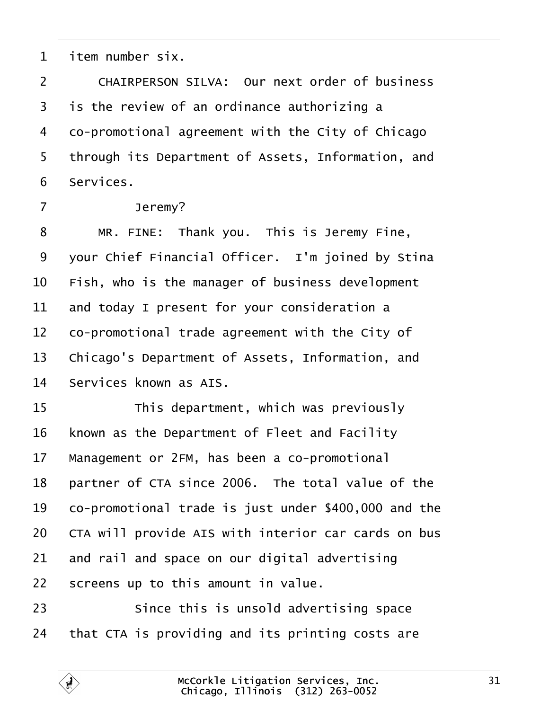<span id="page-30-0"></span>1 *i*tem number six.

- 2 CHAIRPERSON SILVA: Our next order of business
- 3 is the review of an ordinance authorizing a
- 4 do-promotional agreement with the City of Chicago
- 5 through its Department of Assets, Information, and
- 6 Services.
- 7 | Jeremy?
- 8 | MR. FINE: Thank you. This is Jeremy Fine,
- 9 your Chief Financial Officer. I'm joined by Stina
- 10 Fish, who is the manager of business development
- 11 and today I present for your consideration a
- 12 co-promotional trade agreement with the City of
- 13 Chicago's Department of Assets, Information, and
- 14 Services known as AIS.
- 15 **This department, which was previously**
- 16 known as the Department of Fleet and Facility
- 17 Management or 2FM, has been a co-promotional
- 18 partner of CTA since 2006. The total value of the
- 19 co-promotional trade is just under \$400,000 and the
- 20 CTA will provide AIS with interior car cards on bus
- 21 and rail and space on our digital advertising
- 22 screens up to this amount in value.
- 23 **Since this is unsold advertising space**
- 24 that CTA is providing and its printing costs are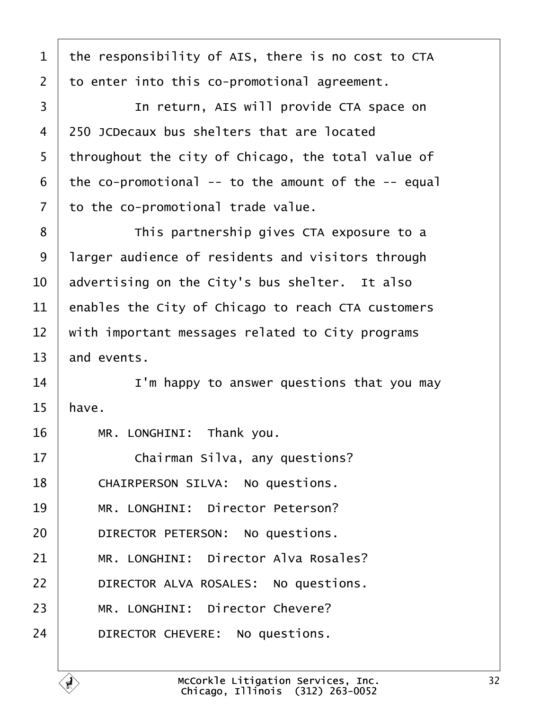<span id="page-31-0"></span>

| 1  | the responsibility of AIS, there is no cost to CTA  |
|----|-----------------------------------------------------|
| 2  | to enter into this co-promotional agreement.        |
| 3  | In return, AIS will provide CTA space on            |
| 4  | 250 JCDecaux bus shelters that are located          |
| 5  | throughout the city of Chicago, the total value of  |
| 6  | the co-promotional -- to the amount of the -- equal |
| 7  | to the co-promotional trade value.                  |
| 8  | This partnership gives CTA exposure to a            |
| 9  | larger audience of residents and visitors through   |
| 10 | advertising on the City's bus shelter. It also      |
| 11 | enables the City of Chicago to reach CTA customers  |
| 12 | with important messages related to City programs    |
| 13 | and events.                                         |
| 14 | I'm happy to answer questions that you may          |
| 15 | have.                                               |
| 16 | MR. LONGHINI: Thank you.                            |
| 17 | Chairman Silva, any questions?                      |
| 18 | CHAIRPERSON SILVA: No questions.                    |
| 19 | MR. LONGHINI: Director Peterson?                    |
| 20 | DIRECTOR PETERSON: No questions.                    |
| 21 | MR. LONGHINI: Director Alva Rosales?                |
| 22 | DIRECTOR ALVA ROSALES: No questions.                |
| 23 | MR. LONGHINI: Director Chevere?                     |
| 24 | DIRECTOR CHEVERE: No questions.                     |
|    |                                                     |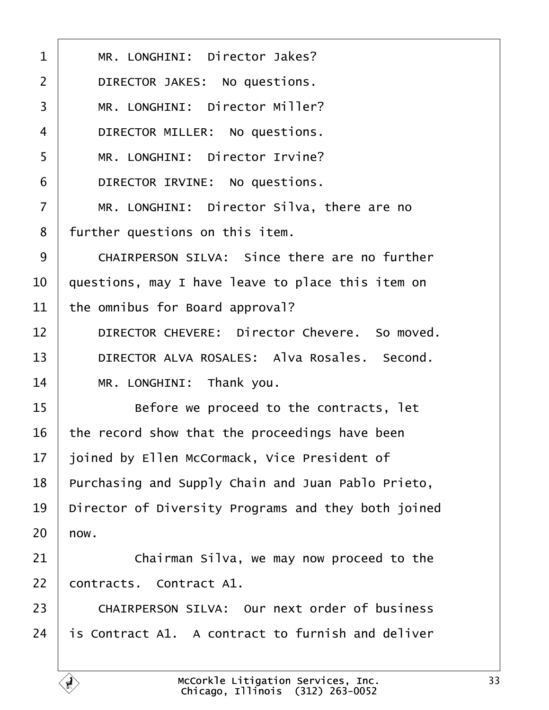<span id="page-32-0"></span>

| 1              | MR. LONGHINI: Director Jakes?                            |
|----------------|----------------------------------------------------------|
| $\overline{2}$ | DIRECTOR JAKES: No questions.                            |
| 3              | MR. LONGHINI: Director Miller?                           |
| 4              | DIRECTOR MILLER: No questions.                           |
| 5              | MR. LONGHINI: Director Irvine?                           |
| 6              | DIRECTOR IRVINE: No questions.                           |
| $\overline{7}$ | MR. LONGHINI: Director Silva, there are no               |
| 8              | further questions on this item.                          |
| 9              | CHAIRPERSON SILVA: Since there are no further            |
| 10             | questions, may I have leave to place this item on        |
| 11             | the omnibus for Board approval?                          |
| 12             | DIRECTOR CHEVERE: Director Chevere. So moved.            |
| 13             | DIRECTOR ALVA ROSALES: Alva Rosales. Second.             |
| 14             | MR. LONGHINI: Thank you.                                 |
| 15             | Before we proceed to the contracts, let                  |
| 16             | the record show that the proceedings have been           |
| 17             | joined by Ellen McCormack, Vice President of             |
| 18             | Purchasing and Supply Chain and Juan Pablo Prieto,       |
| 19             | Director of Diversity Programs and they both joined      |
| 20             | how.                                                     |
| 21             | Chairman Silva, we may now proceed to the                |
| 22             | contracts. Contract A1.                                  |
| 23             | <b>CHAIRPERSON SILVA: Our next order of business</b>     |
| 24             | <b>is Contract A1. A contract to furnish and deliver</b> |
|                |                                                          |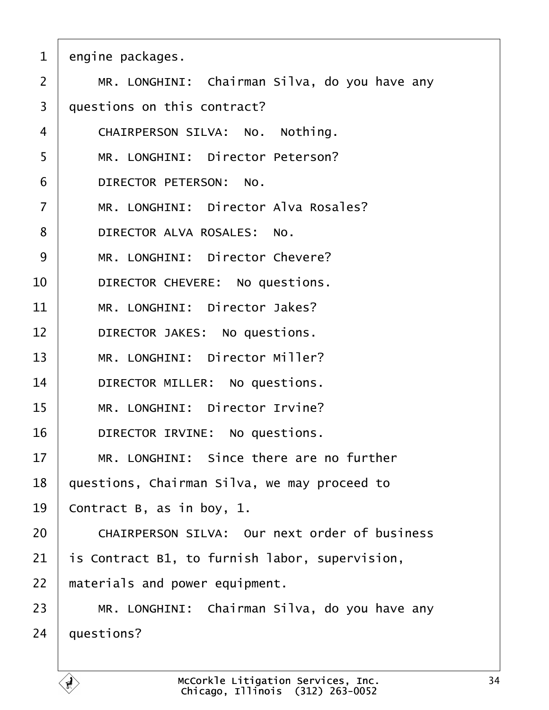<span id="page-33-0"></span>

|  | engine packages. |  |
|--|------------------|--|
|--|------------------|--|

- 2 | MR. LONGHINI: Chairman Silva, do you have any
- 3 duestions on this contract?
- 4 | CHAIRPERSON SILVA: No. Nothing.
- 5 | MR. LONGHINI: Director Peterson?
- 6 DIRECTOR PETERSON: No.
- 7 | MR. LONGHINI: Director Alva Rosales?
- 8 | DIRECTOR ALVA ROSALES: No.
- 9 | MR. LONGHINI: Director Chevere?
- 10 | DIRECTOR CHEVERE: No questions.
- 11 | MR. LONGHINI: Director Jakes?
- 12 | DIRECTOR JAKES: No questions.
- 13 | MR. LONGHINI: Director Miller?
- 14 | DIRECTOR MILLER: No questions.
- 15 | MR. LONGHINI: Director Irvine?
- 16 | DIRECTOR IRVINE: No questions.
- 17 | MR. LONGHINI: Since there are no further
- 18 guestions, Chairman Silva, we may proceed to
- 19 Contract B, as in boy, 1.
- 20 **CHAIRPERSON SILVA: Our next order of business**
- 21 **is Contract B1, to furnish labor, supervision,**
- 22 materials and power equipment.
- 23 | MR. LONGHINI: Chairman Silva, do you have any
- 24 *questions?*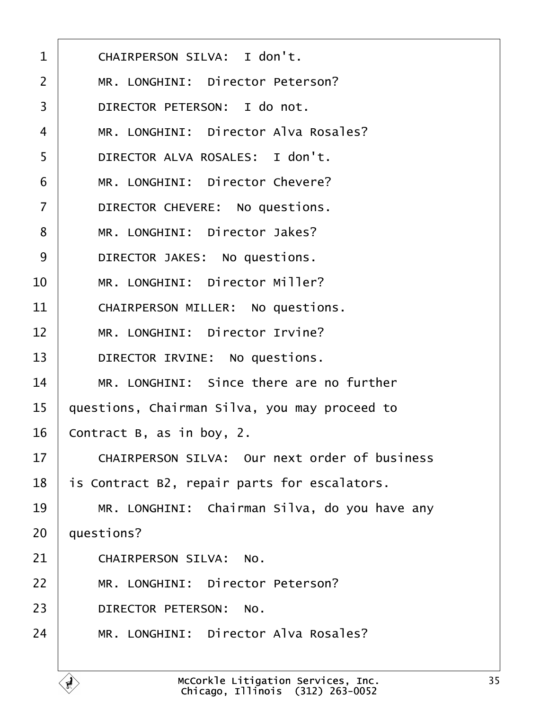<span id="page-34-0"></span>

| 1              | CHAIRPERSON SILVA: I don't.                          |
|----------------|------------------------------------------------------|
| 2              | MR. LONGHINI: Director Peterson?                     |
| 3              | DIRECTOR PETERSON: I do not.                         |
| 4              | MR. LONGHINI: Director Alva Rosales?                 |
| 5              | DIRECTOR ALVA ROSALES: I don't.                      |
| 6              | MR. LONGHINI: Director Chevere?                      |
| $\overline{7}$ | DIRECTOR CHEVERE: No questions.                      |
| 8              | MR. LONGHINI: Director Jakes?                        |
| 9              | DIRECTOR JAKES: No questions.                        |
| 10             | MR. LONGHINI: Director Miller?                       |
| 11             | <b>CHAIRPERSON MILLER: No questions.</b>             |
| 12             | MR. LONGHINI: Director Irvine?                       |
| 13             | DIRECTOR IRVINE: No questions.                       |
| 14             | MR. LONGHINI: Since there are no further             |
| 15             | questions, Chairman Silva, you may proceed to        |
| 16             | Contract B, as in boy, 2.                            |
| 17             | <b>CHAIRPERSON SILVA: Our next order of business</b> |
| 18             | is Contract B2, repair parts for escalators.         |
| 19             | MR. LONGHINI: Chairman Silva, do you have any        |
| 20             | questions?                                           |
| 21             | <b>CHAIRPERSON SILVA: No.</b>                        |
| 22             | MR. LONGHINI: Director Peterson?                     |
| 23             | DIRECTOR PETERSON: No.                               |
| 24             | MR. LONGHINI: Director Alva Rosales?                 |
|                |                                                      |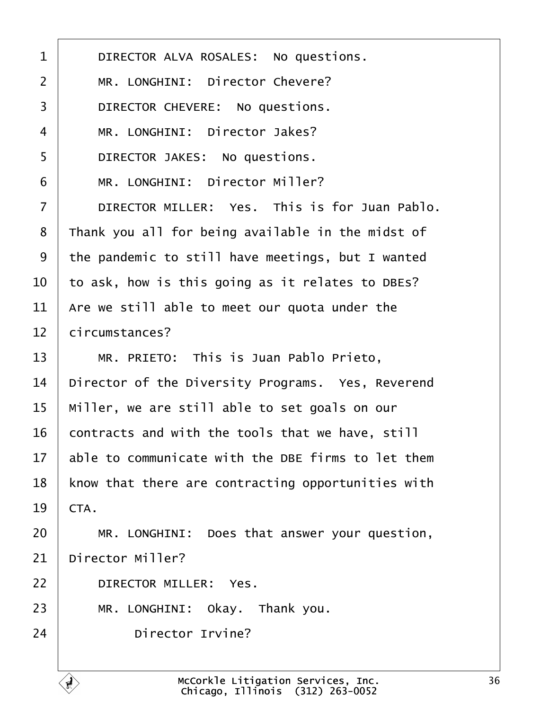<span id="page-35-0"></span>

| 1              | DIRECTOR ALVA ROSALES: No questions.               |
|----------------|----------------------------------------------------|
| $\overline{2}$ | MR. LONGHINI: Director Chevere?                    |
| 3              | DIRECTOR CHEVERE: No questions.                    |
| 4              | MR. LONGHINI: Director Jakes?                      |
| 5              | DIRECTOR JAKES: No questions.                      |
| 6              | MR. LONGHINI: Director Miller?                     |
| $\overline{7}$ | DIRECTOR MILLER: Yes. This is for Juan Pablo.      |
| 8              | Thank you all for being available in the midst of  |
| 9              | the pandemic to still have meetings, but I wanted  |
| 10             | to ask, how is this going as it relates to DBEs?   |
| 11             | Are we still able to meet our quota under the      |
| 12             | circumstances?                                     |
| 13             | MR. PRIETO: This is Juan Pablo Prieto,             |
| 14             | Director of the Diversity Programs. Yes, Reverend  |
| 15             | Miller, we are still able to set goals on our      |
| 16             | contracts and with the tools that we have, still   |
| 17             | able to communicate with the DBE firms to let them |
| 18             | know that there are contracting opportunities with |
| 19             | CTA.                                               |
| 20             | MR. LONGHINI: Does that answer your question,      |
| 21             | Director Miller?                                   |
| 22             | <b>DIRECTOR MILLER: Yes.</b>                       |
| 23             | MR. LONGHINI: Okay. Thank you.                     |
| 24             | <b>Director Irvine?</b>                            |
|                |                                                    |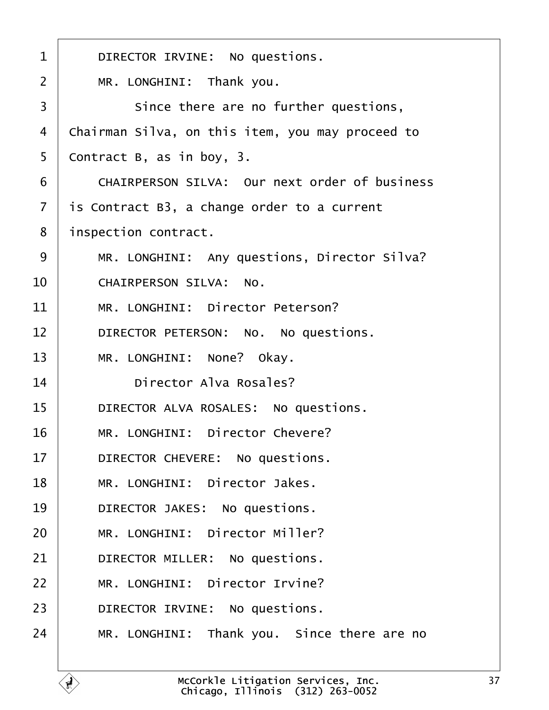<span id="page-36-0"></span>

| 1  | DIRECTOR IRVINE: No questions.                       |
|----|------------------------------------------------------|
| 2  | MR. LONGHINI: Thank you.                             |
| 3  | Since there are no further questions,                |
| 4  | Chairman Silva, on this item, you may proceed to     |
| 5  | Contract B, as in boy, 3.                            |
| 6  | <b>CHAIRPERSON SILVA: Our next order of business</b> |
| 7  | is Contract B3, a change order to a current          |
| 8  | inspection contract.                                 |
| 9  | MR. LONGHINI: Any questions, Director Silva?         |
| 10 | <b>CHAIRPERSON SILVA: No.</b>                        |
| 11 | MR. LONGHINI: Director Peterson?                     |
| 12 | DIRECTOR PETERSON: No. No questions.                 |
| 13 | MR. LONGHINI: None? Okay.                            |
| 14 | Director Alva Rosales?                               |
| 15 | DIRECTOR ALVA ROSALES: No questions.                 |
| 16 | MR. LONGHINI: Director Chevere?                      |
| 17 | DIRECTOR CHEVERE: No questions.                      |
| 18 | MR. LONGHINI: Director Jakes.                        |
| 19 | DIRECTOR JAKES: No questions.                        |
| 20 | MR. LONGHINI: Director Miller?                       |
| 21 | DIRECTOR MILLER: No questions.                       |
| 22 | MR. LONGHINI: Director Irvine?                       |
| 23 | DIRECTOR IRVINE: No questions.                       |
| 24 | MR. LONGHINI: Thank you. Since there are no          |
|    |                                                      |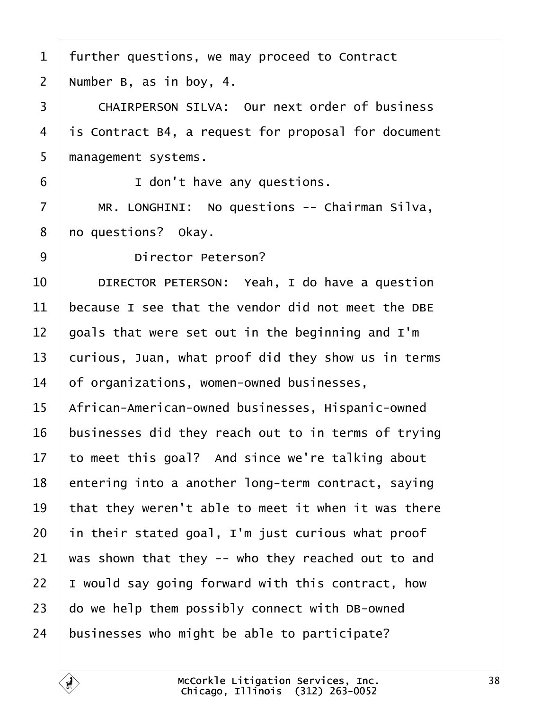- <span id="page-37-0"></span>1 further questions, we may proceed to Contract
- 2 Number B, as in boy,  $4.$
- 3 CHAIRPERSON SILVA: Our next order of business
- 4 is Contract B4, a request for proposal for document
- 5 management systems.
- $6 \mid$   $\mid$  don't have any questions.
- 7 | MR. LONGHINI: No questions -- Chairman Silva,
- 8 **ho questions?** Okay.
- 9 **Director Peterson?**
- 10 | DIRECTOR PETERSON: Yeah, I do have a question
- 11 because I see that the vendor did not meet the DBE
- 12 goals that were set out in the beginning and I'm
- 13 curious, Juan, what proof did they show us in terms
- 14 of organizations, women-owned businesses,
- 15 African-American-owned businesses, Hispanic-owned
- 16 businesses did they reach out to in terms of trying
- 17 to meet this goal? And since we're talking about
- 18 entering into a another long-term contract, saying
- 19 that they weren't able to meet it when it was there
- 20 in their stated goal, I'm just curious what proof
- 21 was shown that they  $-$  who they reached out to and
- 22  $\,$  I would say going forward with this contract, how
- 23 do we help them possibly connect with DB-owned
- 24 businesses who might be able to participate?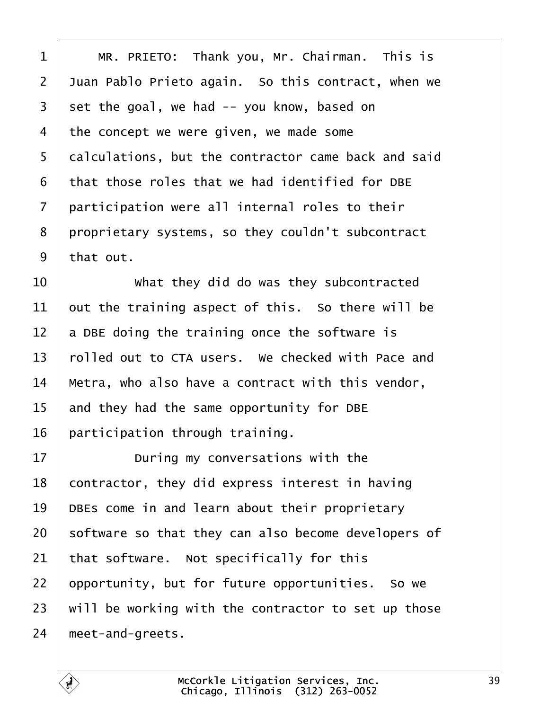<span id="page-38-0"></span>

| 1              | MR. PRIETO: Thank you, Mr. Chairman. This is        |
|----------------|-----------------------------------------------------|
| $\overline{2}$ | Juan Pablo Prieto again. So this contract, when we  |
| 3              | set the goal, we had -- you know, based on          |
| 4              | the concept we were given, we made some             |
| 5              | dalculations, but the contractor came back and said |
| 6              | that those roles that we had identified for DBE     |
| 7              | participation were all internal roles to their      |
| 8              | proprietary systems, so they couldn't subcontract   |
| 9              | that out.                                           |
| 10             | What they did do was they subcontracted             |
| 11             | but the training aspect of this. So there will be   |
| 12             | a DBE doing the training once the software is       |
| 13             | rolled out to CTA users. We checked with Pace and   |
| 14             | Metra, who also have a contract with this vendor,   |
| 15             | and they had the same opportunity for DBE           |
| 16             | participation through training.                     |
| 17             | During my conversations with the                    |
| 18             | contractor, they did express interest in having     |
| 19             | DBEs come in and learn about their proprietary      |
| 20             | software so that they can also become developers of |
| 21             | that software. Not specifically for this            |
| 22             | opportunity, but for future opportunities. So we    |
| 23             | will be working with the contractor to set up those |
| 24             | meet-and-greets.                                    |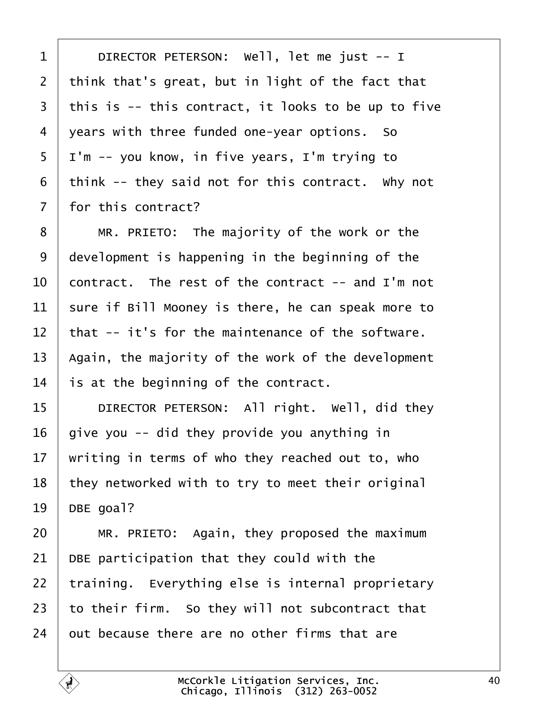<span id="page-39-0"></span>

| 1  | DIRECTOR PETERSON: Well, let me just -- I           |
|----|-----------------------------------------------------|
| 2  | think that's great, but in light of the fact that   |
| 3  | this is -- this contract, it looks to be up to five |
| 4  | years with three funded one-year options. So        |
| 5  | I'm -- you know, in five years, I'm trying to       |
| 6  | think -- they said not for this contract. Why not   |
| 7  | for this contract?                                  |
| 8  | MR. PRIETO: The majority of the work or the         |
| 9  | development is happening in the beginning of the    |
| 10 | contract. The rest of the contract -- and I'm not   |
| 11 | sure if Bill Mooney is there, he can speak more to  |
| 12 | that -- it's for the maintenance of the software.   |
| 13 | Again, the majority of the work of the development  |
| 14 | is at the beginning of the contract.                |
| 15 | DIRECTOR PETERSON: All right. Well, did they        |
| 16 | give you -- did they provide you anything in        |
| 17 | writing in terms of who they reached out to, who    |
| 18 | they networked with to try to meet their original   |
| 19 | DBE goal?                                           |
| 20 | MR. PRIETO: Again, they proposed the maximum        |
| 21 | DBE participation that they could with the          |
| 22 | training. Everything else is internal proprietary   |
| 23 | to their firm. So they will not subcontract that    |
| 24 | out because there are no other firms that are       |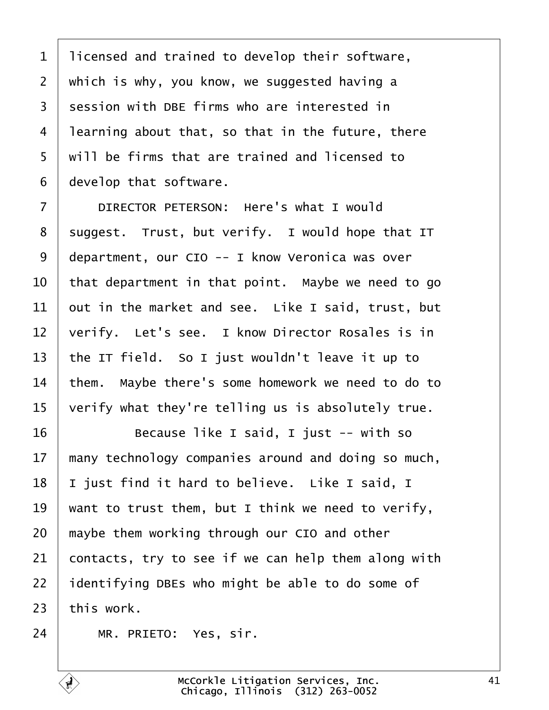<span id="page-40-0"></span>

| 1              | licensed and trained to develop their software,     |
|----------------|-----------------------------------------------------|
| 2              | which is why, you know, we suggested having a       |
| 3              | session with DBE firms who are interested in        |
| 4              | learning about that, so that in the future, there   |
| 5              | will be firms that are trained and licensed to      |
| 6              | develop that software.                              |
| $\overline{7}$ | DIRECTOR PETERSON: Here's what I would              |
| 8              | suggest. Trust, but verify. I would hope that IT    |
| 9              | department, our CIO -- I know Veronica was over     |
| 10             | that department in that point. Maybe we need to go  |
| 11             | out in the market and see. Like I said, trust, but  |
| 12             | verify. Let's see. I know Director Rosales is in    |
| 13             | the IT field. So I just wouldn't leave it up to     |
| 14             | them. Maybe there's some homework we need to do to  |
| 15             | verify what they're telling us is absolutely true.  |
| 16             | Because like I said, I just -- with so              |
| 17             | many technology companies around and doing so much, |
| 18             | just find it hard to believe. Like I said, I        |
| 19             | want to trust them, but I think we need to verify,  |
| 20             | maybe them working through our CIO and other        |
| 21             | contacts, try to see if we can help them along with |
| 22             | dentifying DBEs who might be able to do some of     |
| 23             | this work.                                          |
| 24             | MR. PRIETO: Yes, sir.                               |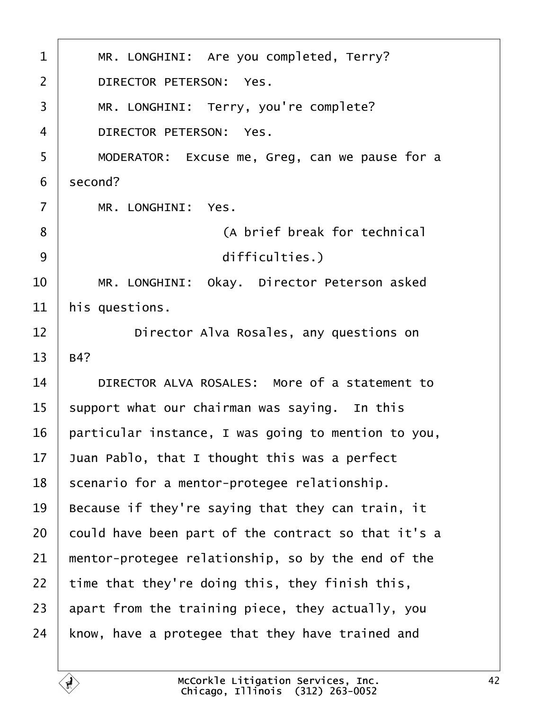<span id="page-41-0"></span>

| 1              | MR. LONGHINI: Are you completed, Terry?             |
|----------------|-----------------------------------------------------|
| 2              | DIRECTOR PETERSON: Yes.                             |
| 3              | MR. LONGHINI: Terry, you're complete?               |
| $\overline{4}$ | <b>DIRECTOR PETERSON: Yes.</b>                      |
| 5              | MODERATOR: Excuse me, Greg, can we pause for a      |
| 6              | second?                                             |
| $\overline{7}$ | MR. LONGHINI: Yes.                                  |
| 8              | (A brief break for technical                        |
| 9              | difficulties.)                                      |
| 10             | MR. LONGHINI: Okay. Director Peterson asked         |
| 11             | his questions.                                      |
| 12             | Director Alva Rosales, any questions on             |
| 13             | B4?                                                 |
| 14             | DIRECTOR ALVA ROSALES: More of a statement to       |
| 15             | support what our chairman was saying. In this       |
| 16             | particular instance, I was going to mention to you, |
| 17             | Juan Pablo, that I thought this was a perfect       |
| 18             | scenario for a mentor-protegee relationship.        |
| 19             | Because if they're saying that they can train, it   |
| 20             | could have been part of the contract so that it's a |
| 21             | mentor-protegee relationship, so by the end of the  |
| 22             | time that they're doing this, they finish this,     |
| 23             | apart from the training piece, they actually, you   |
| 24             | know, have a protegee that they have trained and    |
|                |                                                     |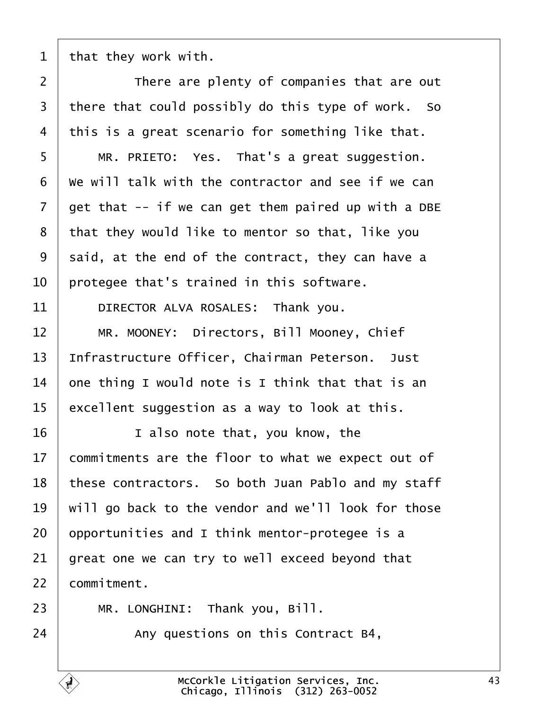<span id="page-42-0"></span>1 that they work with.

| $\overline{2}$ | There are plenty of companies that are out          |
|----------------|-----------------------------------------------------|
| 3              | there that could possibly do this type of work. So  |
| 4              | this is a great scenario for something like that.   |
| 5              | MR. PRIETO: Yes. That's a great suggestion.         |
| 6              | We will talk with the contractor and see if we can  |
| $\overline{7}$ | get that -- if we can get them paired up with a DBE |
| 8              | that they would like to mentor so that, like you    |
| 9              | said, at the end of the contract, they can have a   |
| 10             | protegee that's trained in this software.           |
| 11             | DIRECTOR ALVA ROSALES: Thank you.                   |
| 12             | MR. MOONEY: Directors, Bill Mooney, Chief           |
| 13             | Infrastructure Officer, Chairman Peterson. Just     |
| 14             | one thing I would note is I think that that is an   |
| 15             | excellent suggestion as a way to look at this.      |
| 16             | I also note that, you know, the                     |
| 17             | commitments are the floor to what we expect out of  |
| 18             | these contractors. So both Juan Pablo and my staff  |
| 19             | will go back to the vendor and we'll look for those |
| 20             | opportunities and I think mentor-protegee is a      |
| 21             | great one we can try to well exceed beyond that     |
| 22             | commitment.                                         |
| 23             | MR. LONGHINI: Thank you, Bill.                      |
| 24             | Any questions on this Contract B4,                  |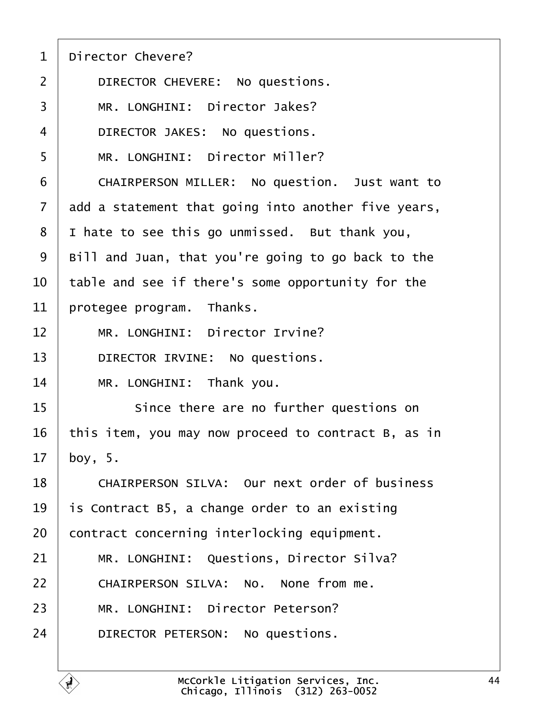- <span id="page-43-0"></span>1 Director Chevere?
- 2 | DIRECTOR CHEVERE: No questions.
- 3 | MR. LONGHINI: Director Jakes?
- 4 | DIRECTOR JAKES: No questions.
- 5 | MR. LONGHINI: Director Miller?
- 6 | CHAIRPERSON MILLER: No question. Just want to
- 7 ddd a statement that going into another five years,
- 8 I hate to see this go unmissed. But thank you,
- 9 Bill and Juan, that you're going to go back to the
- 10 table and see if there's some opportunity for the
- 11 protegee program. Thanks.
- 12 | MR. LONGHINI: Director Irvine?
- 13 | DIRECTOR IRVINE: No questions.
- 14 | MR. LONGHINI: Thank you.
- 15 **Since there are no further questions on**
- 16 this item, you may now proceed to contract B, as in
- 17 boy,  $5.$
- 18 | CHAIRPERSON SILVA: Our next order of business
- 19 is Contract B5, a change order to an existing
- 20 contract concerning interlocking equipment.
- 21 | MR. LONGHINI: Questions, Director Silva?
- 22 | CHAIRPERSON SILVA: No. None from me.
- 23 | MR. LONGHINI: Director Peterson?
- 24 | DIRECTOR PETERSON: No questions.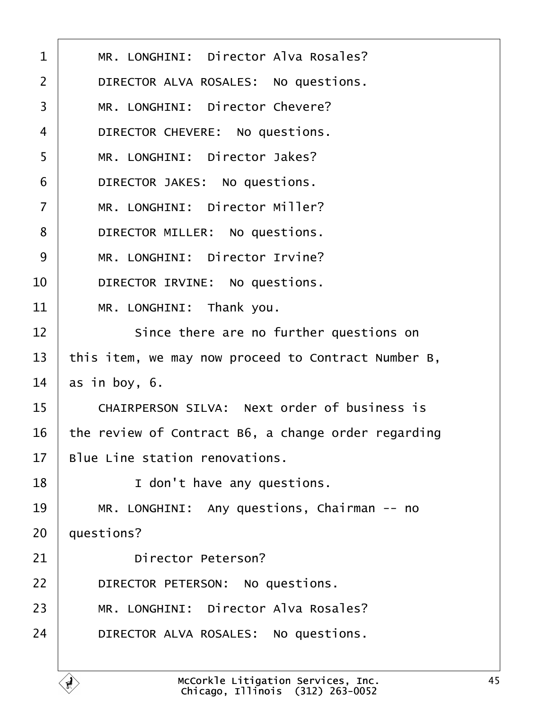<span id="page-44-0"></span>

| 1  | MR. LONGHINI: Director Alva Rosales?                |
|----|-----------------------------------------------------|
| 2  | DIRECTOR ALVA ROSALES: No questions.                |
| 3  | MR. LONGHINI: Director Chevere?                     |
| 4  | DIRECTOR CHEVERE: No questions.                     |
| 5  | MR. LONGHINI: Director Jakes?                       |
| 6  | DIRECTOR JAKES: No questions.                       |
| 7  | MR. LONGHINI: Director Miller?                      |
| 8  | DIRECTOR MILLER: No questions.                      |
| 9  | MR. LONGHINI: Director Irvine?                      |
| 10 | DIRECTOR IRVINE: No questions.                      |
| 11 | MR. LONGHINI: Thank you.                            |
| 12 | Since there are no further questions on             |
| 13 | this item, we may now proceed to Contract Number B, |
| 14 | as in boy, 6.                                       |
| 15 | <b>CHAIRPERSON SILVA: Next order of business is</b> |
| 16 | the review of Contract B6, a change order regarding |
| 17 | Blue Line station renovations.                      |
| 18 | I don't have any questions.                         |
| 19 | MR. LONGHINI: Any questions, Chairman -- no         |
| 20 | questions?                                          |
| 21 | <b>Director Peterson?</b>                           |
| 22 | DIRECTOR PETERSON: No questions.                    |
| 23 | MR. LONGHINI: Director Alva Rosales?                |
| 24 | DIRECTOR ALVA ROSALES: No questions.                |
|    |                                                     |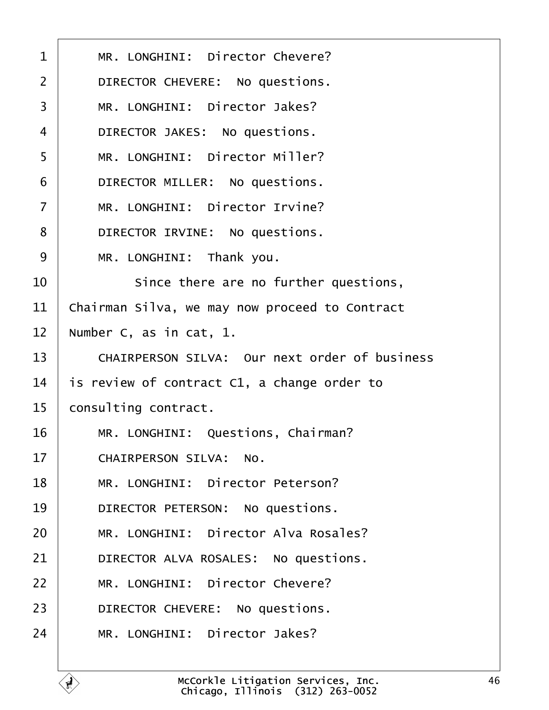<span id="page-45-0"></span>

| 1              | MR. LONGHINI: Director Chevere?                      |
|----------------|------------------------------------------------------|
| $\overline{2}$ | DIRECTOR CHEVERE: No questions.                      |
| 3              | MR. LONGHINI: Director Jakes?                        |
| 4              | DIRECTOR JAKES: No questions.                        |
| 5              | MR. LONGHINI: Director Miller?                       |
| 6              | DIRECTOR MILLER: No questions.                       |
| $\overline{7}$ | MR. LONGHINI: Director Irvine?                       |
| 8              | DIRECTOR IRVINE: No questions.                       |
| 9              | MR. LONGHINI: Thank you.                             |
| 10             | Since there are no further questions,                |
| 11             | Chairman Silva, we may now proceed to Contract       |
| 12             | Number C, as in cat, 1.                              |
| 13             | <b>CHAIRPERSON SILVA: Our next order of business</b> |
| 14             | is review of contract C1, a change order to          |
| 15             | consulting contract.                                 |
| 16             | MR. LONGHINI: Questions, Chairman?                   |
| 17             | <b>CHAIRPERSON SILVA: No.</b>                        |
| 18             | MR. LONGHINI: Director Peterson?                     |
| 19             | DIRECTOR PETERSON: No questions.                     |
| 20             | MR. LONGHINI: Director Alva Rosales?                 |
| 21             | DIRECTOR ALVA ROSALES: No questions.                 |
| 22             | MR. LONGHINI: Director Chevere?                      |
| 23             | DIRECTOR CHEVERE: No questions.                      |
| 24             | MR. LONGHINI: Director Jakes?                        |
|                |                                                      |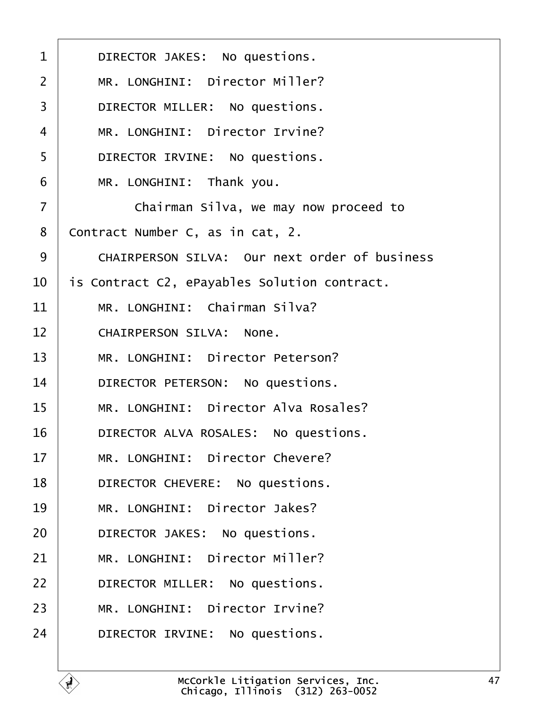<span id="page-46-0"></span>

| $\mathbf 1$    | DIRECTOR JAKES: No questions.                        |
|----------------|------------------------------------------------------|
| $\overline{2}$ | MR. LONGHINI: Director Miller?                       |
| 3              | DIRECTOR MILLER: No questions.                       |
| 4              | MR. LONGHINI: Director Irvine?                       |
| 5              | DIRECTOR IRVINE: No questions.                       |
| 6              | MR. LONGHINI: Thank you.                             |
| $\overline{7}$ | Chairman Silva, we may now proceed to                |
| 8              | Contract Number C, as in cat, 2.                     |
| 9              | <b>CHAIRPERSON SILVA: Our next order of business</b> |
| 10             | is Contract C2, ePayables Solution contract.         |
| 11             | MR. LONGHINI: Chairman Silva?                        |
| 12             | <b>CHAIRPERSON SILVA: None.</b>                      |
| 13             | MR. LONGHINI: Director Peterson?                     |
| 14             | DIRECTOR PETERSON: No questions.                     |
| 15             | MR. LONGHINI: Director Alva Rosales?                 |
| 16             | DIRECTOR ALVA ROSALES: No questions.                 |
| 17             | MR. LONGHINI: Director Chevere?                      |
| 18             | DIRECTOR CHEVERE: No questions.                      |
| 19             | MR. LONGHINI: Director Jakes?                        |
| 20             | DIRECTOR JAKES: No questions.                        |
| 21             | MR. LONGHINI: Director Miller?                       |
| 22             | DIRECTOR MILLER: No questions.                       |
| 23             | MR. LONGHINI: Director Irvine?                       |
| 24             | DIRECTOR IRVINE: No questions.                       |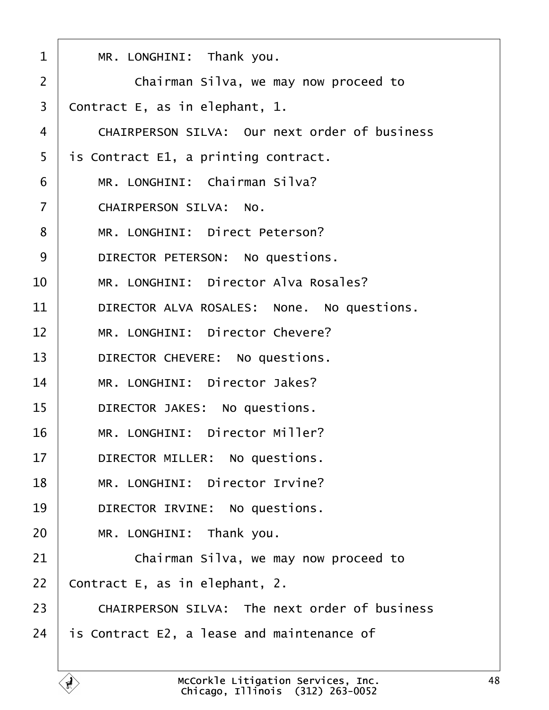<span id="page-47-0"></span>

| 1              | MR. LONGHINI: Thank you.                             |
|----------------|------------------------------------------------------|
| $\overline{2}$ | Chairman Silva, we may now proceed to                |
| 3              | Contract E, as in elephant, 1.                       |
| 4              | <b>CHAIRPERSON SILVA: Our next order of business</b> |
| 5              | is Contract E1, a printing contract.                 |
| 6              | MR. LONGHINI: Chairman Silva?                        |
| 7              | <b>CHAIRPERSON SILVA: No.</b>                        |
| 8              | MR. LONGHINI: Direct Peterson?                       |
| 9              | DIRECTOR PETERSON: No questions.                     |
| 10             | MR. LONGHINI: Director Alva Rosales?                 |
| 11             | DIRECTOR ALVA ROSALES: None. No questions.           |
| 12             | MR. LONGHINI: Director Chevere?                      |
| 13             | DIRECTOR CHEVERE: No questions.                      |
| 14             | MR. LONGHINI: Director Jakes?                        |
| 15             | DIRECTOR JAKES: No questions.                        |
| 16             | MR. LONGHINI: Director Miller?                       |
| 17             | DIRECTOR MILLER: No questions.                       |
| 18             | MR. LONGHINI: Director Irvine?                       |
| 19             | DIRECTOR IRVINE: No questions.                       |
| 20             | MR. LONGHINI: Thank you.                             |
| 21             | Chairman Silva, we may now proceed to                |
| 22             | Contract E, as in elephant, 2.                       |
| 23             | <b>CHAIRPERSON SILVA: The next order of business</b> |
| 24             | is Contract E2, a lease and maintenance of           |
|                |                                                      |

Г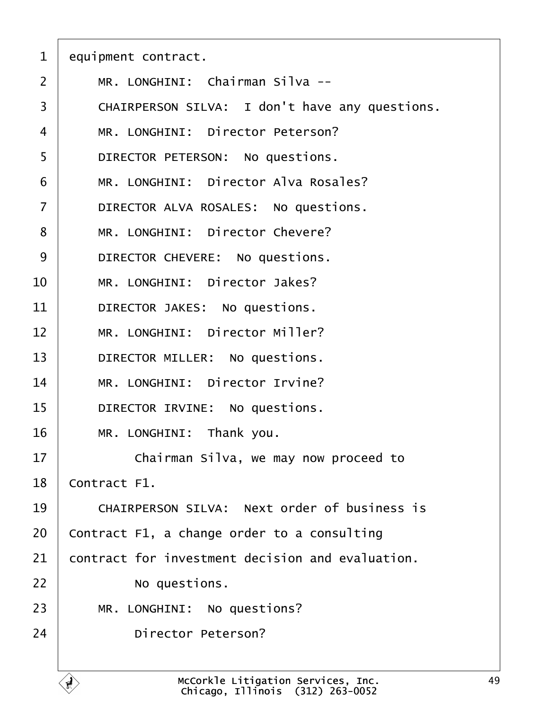<span id="page-48-0"></span>

|  | equipment contract. |
|--|---------------------|
|--|---------------------|

- 2 | MR. LONGHINI: Chairman Silva --
- 3 CHAIRPERSON SILVA: I don't have any questions.
- 4 | MR. LONGHINI: Director Peterson?
- 5 | DIRECTOR PETERSON: No questions.
- 6 | MR. LONGHINI: Director Alva Rosales?
- 7 | DIRECTOR ALVA ROSALES: No questions.
- 8 | MR. LONGHINI: Director Chevere?
- 9 | DIRECTOR CHEVERE: No questions.
- 10 | MR. LONGHINI: Director Jakes?
- 11 | DIRECTOR JAKES: No questions.
- 12 | MR. LONGHINI: Director Miller?
- 13 | DIRECTOR MILLER: No questions.
- 14 | MR. LONGHINI: Director Irvine?
- 15 | DIRECTOR IRVINE: No questions.
- 16 | MR. LONGHINI: Thank you.
- 17 **Chairman Silva, we may now proceed to**

18 Contract F1.

- 19 CHAIRPERSON SILVA: Next order of business is
- 20 Contract F1, a change order to a consulting
- 21 contract for investment decision and evaluation.

22 **No questions.** 

- 23 | MR. LONGHINI: No questions?
- 24 **Director Peterson?**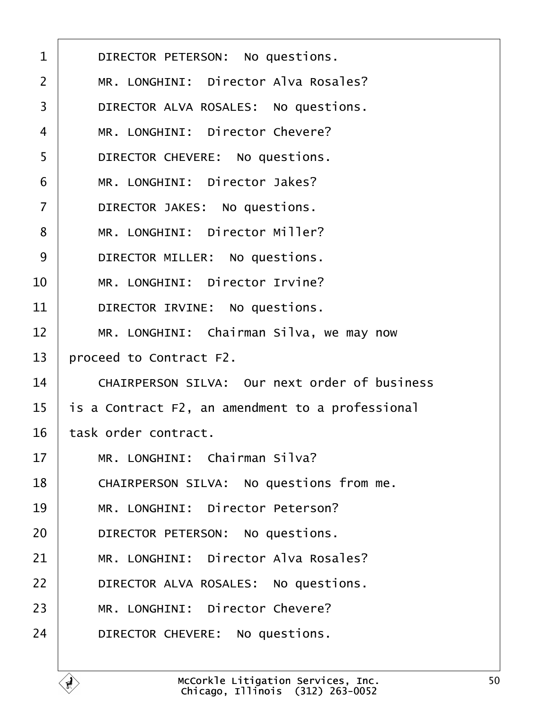<span id="page-49-0"></span>

| 1              | DIRECTOR PETERSON: No questions.                     |
|----------------|------------------------------------------------------|
| 2              | MR. LONGHINI: Director Alva Rosales?                 |
| 3              | DIRECTOR ALVA ROSALES: No questions.                 |
| 4              | MR. LONGHINI: Director Chevere?                      |
| 5              | DIRECTOR CHEVERE: No questions.                      |
| 6              | MR. LONGHINI: Director Jakes?                        |
| $\overline{7}$ | DIRECTOR JAKES: No questions.                        |
| 8              | MR. LONGHINI: Director Miller?                       |
| 9              | DIRECTOR MILLER: No questions.                       |
| 10             | MR. LONGHINI: Director Irvine?                       |
| 11             | DIRECTOR IRVINE: No questions.                       |
| 12             | MR. LONGHINI: Chairman Silva, we may now             |
| 13             | proceed to Contract F2.                              |
| 14             | <b>CHAIRPERSON SILVA: Our next order of business</b> |
| 15             | is a Contract F2, an amendment to a professional     |
| 16             | task order contract.                                 |
| 17             | MR. LONGHINI: Chairman Silva?                        |
| 18             | CHAIRPERSON SILVA: No questions from me.             |
| 19             | MR. LONGHINI: Director Peterson?                     |
| 20             | DIRECTOR PETERSON: No questions.                     |
| 21             | MR. LONGHINI: Director Alva Rosales?                 |
| 22             | DIRECTOR ALVA ROSALES: No questions.                 |
| 23             | MR. LONGHINI: Director Chevere?                      |
| 24             | DIRECTOR CHEVERE: No questions.                      |
|                |                                                      |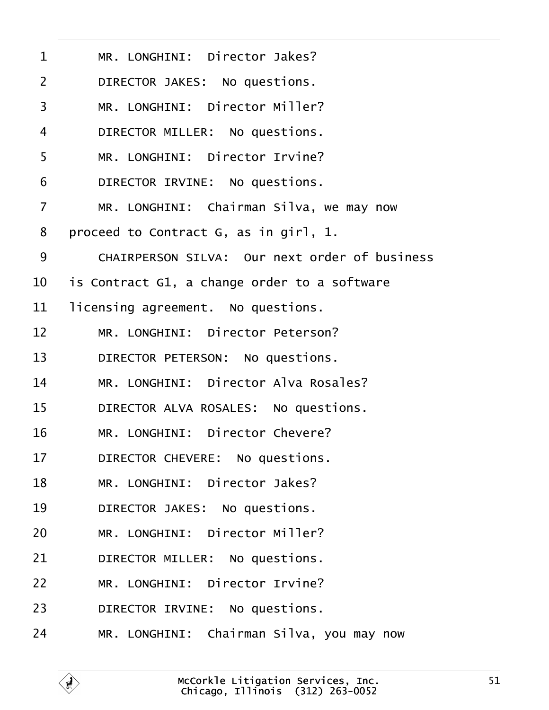<span id="page-50-0"></span>

| 1              | MR. LONGHINI: Director Jakes?                        |
|----------------|------------------------------------------------------|
| $\overline{2}$ | DIRECTOR JAKES: No questions.                        |
| 3              | MR. LONGHINI: Director Miller?                       |
| 4              | DIRECTOR MILLER: No questions.                       |
| 5              | MR. LONGHINI: Director Irvine?                       |
| 6              | DIRECTOR IRVINE: No questions.                       |
| 7              | MR. LONGHINI: Chairman Silva, we may now             |
| 8              | proceed to Contract G, as in girl, 1.                |
| 9              | <b>CHAIRPERSON SILVA: Our next order of business</b> |
| 10             | is Contract G1, a change order to a software         |
| 11             | licensing agreement. No questions.                   |
| 12             | MR. LONGHINI: Director Peterson?                     |
| 13             | DIRECTOR PETERSON: No questions.                     |
| 14             | MR. LONGHINI: Director Alva Rosales?                 |
| 15             | DIRECTOR ALVA ROSALES: No questions.                 |
| 16             | MR. LONGHINI: Director Chevere?                      |
| 17             | DIRECTOR CHEVERE: No questions.                      |
| 18             | MR. LONGHINI: Director Jakes?                        |
| 19             | DIRECTOR JAKES: No questions.                        |
| 20             | MR. LONGHINI: Director Miller?                       |
| 21             | DIRECTOR MILLER: No questions.                       |
| 22             | MR. LONGHINI: Director Irvine?                       |
| 23             | DIRECTOR IRVINE: No questions.                       |
| 24             | MR. LONGHINI: Chairman Silva, you may now            |
|                |                                                      |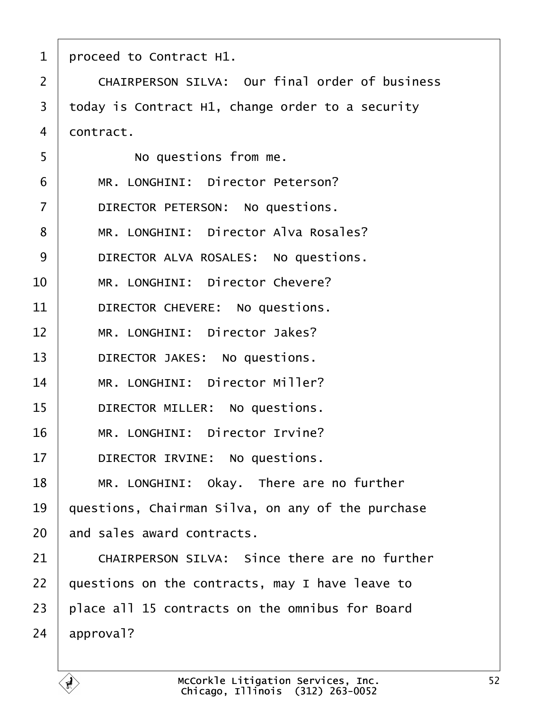<span id="page-51-0"></span>

| 1              | proceed to Contract H1.                               |  |
|----------------|-------------------------------------------------------|--|
| 2              | <b>CHAIRPERSON SILVA: Our final order of business</b> |  |
| 3              | today is Contract H1, change order to a security      |  |
| 4              | dontract.                                             |  |
| 5              | No questions from me.                                 |  |
| 6              | MR. LONGHINI: Director Peterson?                      |  |
| $\overline{7}$ | DIRECTOR PETERSON: No questions.                      |  |
| 8              | MR. LONGHINI: Director Alva Rosales?                  |  |
| 9              | DIRECTOR ALVA ROSALES: No questions.                  |  |
| 10             | MR. LONGHINI: Director Chevere?                       |  |
| 11             | DIRECTOR CHEVERE: No questions.                       |  |
| 12             | MR. LONGHINI: Director Jakes?                         |  |
| 13             | DIRECTOR JAKES: No questions.                         |  |
| 14             | MR. LONGHINI: Director Miller?                        |  |
| 15             | DIRECTOR MILLER: No questions.                        |  |
| 16             | MR. LONGHINI: Director Irvine?                        |  |
| 17             | DIRECTOR IRVINE: No questions.                        |  |
| 18             | MR. LONGHINI: Okay. There are no further              |  |
| 19             | questions, Chairman Silva, on any of the purchase     |  |
| 20             | and sales award contracts.                            |  |
| 21             | CHAIRPERSON SILVA: Since there are no further         |  |
| 22             | questions on the contracts, may I have leave to       |  |
| 23             | place all 15 contracts on the omnibus for Board       |  |
| 24             | approval?                                             |  |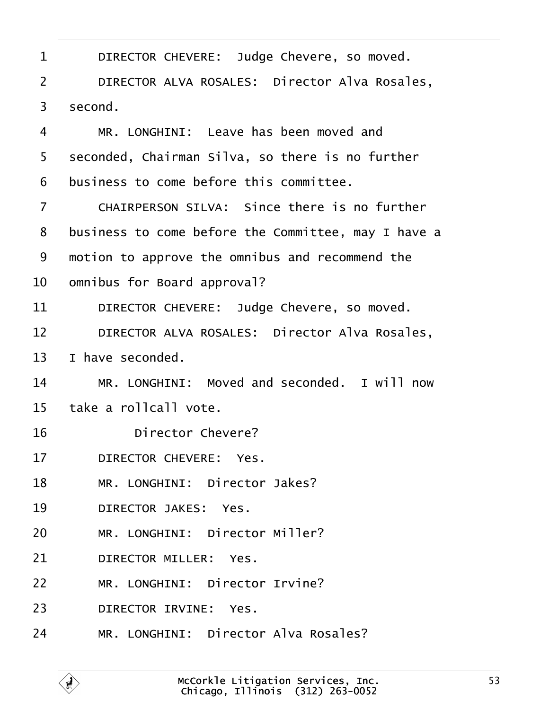<span id="page-52-0"></span>

| 1              | DIRECTOR CHEVERE: Judge Chevere, so moved.           |  |
|----------------|------------------------------------------------------|--|
| 2              | <b>DIRECTOR ALVA ROSALES: Director Alva Rosales,</b> |  |
| 3              | second.                                              |  |
| 4              | MR. LONGHINI: Leave has been moved and               |  |
| 5              | seconded, Chairman Silva, so there is no further     |  |
| 6              | business to come before this committee.              |  |
| $\overline{7}$ | <b>CHAIRPERSON SILVA: Since there is no further</b>  |  |
| 8              | business to come before the Committee, may I have a  |  |
| 9              | motion to approve the omnibus and recommend the      |  |
| 10             | omnibus for Board approval?                          |  |
| 11             | DIRECTOR CHEVERE: Judge Chevere, so moved.           |  |
| 12             | <b>DIRECTOR ALVA ROSALES: Director Alva Rosales,</b> |  |
| 13             | have seconded.                                       |  |
| 14             | MR. LONGHINI: Moved and seconded. I will now         |  |
| 15             | łake a rollcall vote.                                |  |
| 16             | <b>Director Chevere?</b>                             |  |
| 17             | DIRECTOR CHEVERE: Yes.                               |  |
| 18             | MR. LONGHINI: Director Jakes?                        |  |
| 19             | <b>DIRECTOR JAKES: Yes.</b>                          |  |
| 20             | MR. LONGHINI: Director Miller?                       |  |
| 21             | DIRECTOR MILLER: Yes.                                |  |
| 22             | MR. LONGHINI: Director Irvine?                       |  |
| 23             | DIRECTOR IRVINE: Yes.                                |  |
| 24             | MR. LONGHINI: Director Alva Rosales?                 |  |
|                |                                                      |  |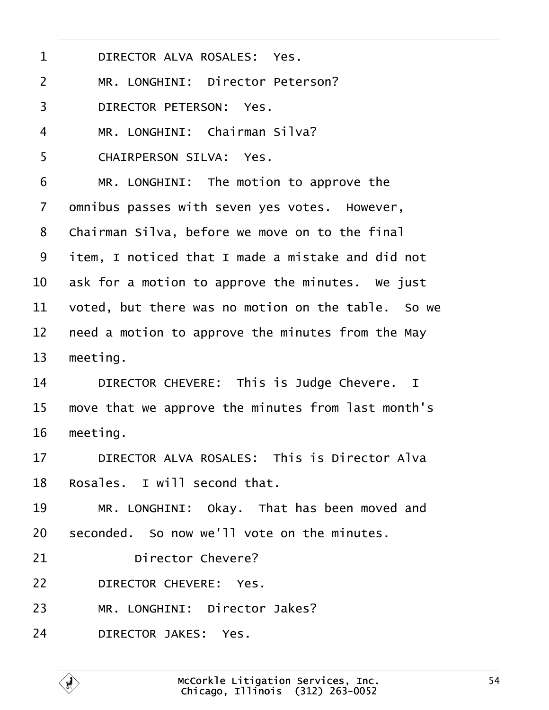<span id="page-53-0"></span>

| 1  | DIRECTOR ALVA ROSALES: Yes.                        |  |
|----|----------------------------------------------------|--|
| 2  | MR. LONGHINI: Director Peterson?                   |  |
| 3  | <b>DIRECTOR PETERSON: Yes.</b>                     |  |
| 4  | MR. LONGHINI: Chairman Silva?                      |  |
| 5  | <b>CHAIRPERSON SILVA: Yes.</b>                     |  |
| 6  | MR. LONGHINI: The motion to approve the            |  |
| 7  | dmnibus passes with seven yes votes. However,      |  |
| 8  | Chairman Silva, before we move on to the final     |  |
| 9  | item, I noticed that I made a mistake and did not  |  |
| 10 | ask for a motion to approve the minutes. We just   |  |
| 11 | voted, but there was no motion on the table. So we |  |
| 12 | heed a motion to approve the minutes from the May  |  |
| 13 | meeting.                                           |  |
| 14 | DIRECTOR CHEVERE: This is Judge Chevere. I         |  |
| 15 | move that we approve the minutes from last month's |  |
| 16 | meeting.                                           |  |
| 17 | DIRECTOR ALVA ROSALES: This is Director Alva       |  |
| 18 | Rosales. I will second that.                       |  |
| 19 | MR. LONGHINI: Okay. That has been moved and        |  |
| 20 | seconded. So now we'll vote on the minutes.        |  |
| 21 | <b>Director Chevere?</b>                           |  |
| 22 | DIRECTOR CHEVERE: Yes.                             |  |
| 23 | MR. LONGHINI: Director Jakes?                      |  |
| 24 | <b>DIRECTOR JAKES: Yes.</b>                        |  |
|    |                                                    |  |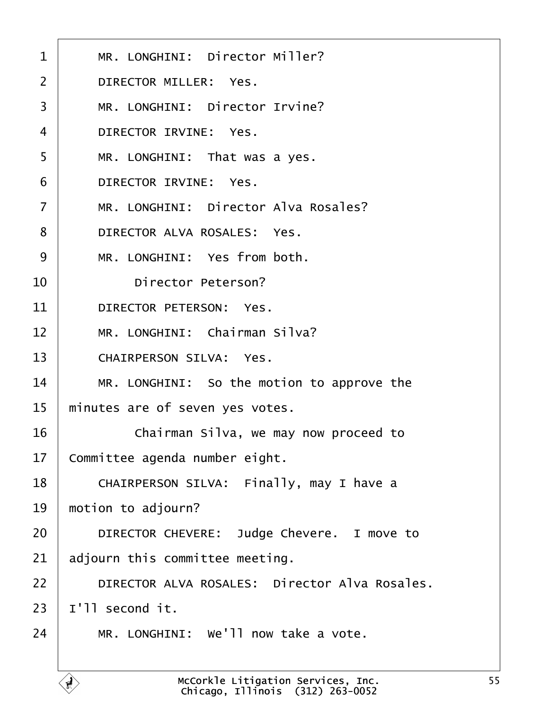<span id="page-54-0"></span>

| $\mathbf 1$    | MR. LONGHINI: Director Miller?                       |
|----------------|------------------------------------------------------|
| 2              | <b>DIRECTOR MILLER: Yes.</b>                         |
| 3              | MR. LONGHINI: Director Irvine?                       |
| 4              | DIRECTOR IRVINE: Yes.                                |
| 5              | MR. LONGHINI: That was a yes.                        |
| 6              | DIRECTOR IRVINE: Yes.                                |
| $\overline{7}$ | MR. LONGHINI: Director Alva Rosales?                 |
| 8              | DIRECTOR ALVA ROSALES: Yes.                          |
| 9              | MR. LONGHINI: Yes from both.                         |
| 10             | <b>Director Peterson?</b>                            |
| 11             | <b>DIRECTOR PETERSON: Yes.</b>                       |
| 12             | MR. LONGHINI: Chairman Silva?                        |
| 13             | <b>CHAIRPERSON SILVA: Yes.</b>                       |
| 14             | MR. LONGHINI: So the motion to approve the           |
| 15             | minutes are of seven yes votes.                      |
| 16             | Chairman Silva, we may now proceed to                |
| 17             | Committee agenda number eight.                       |
| 18             | CHAIRPERSON SILVA: Finally, may I have a             |
| 19             | motion to adjourn?                                   |
| 20             | DIRECTOR CHEVERE: Judge Chevere. I move to           |
| 21             | adjourn this committee meeting.                      |
| 22             | <b>DIRECTOR ALVA ROSALES: Director Alva Rosales.</b> |
| 23             | I'll second it.                                      |
| 24             | MR. LONGHINI: We'll now take a vote.                 |
|                |                                                      |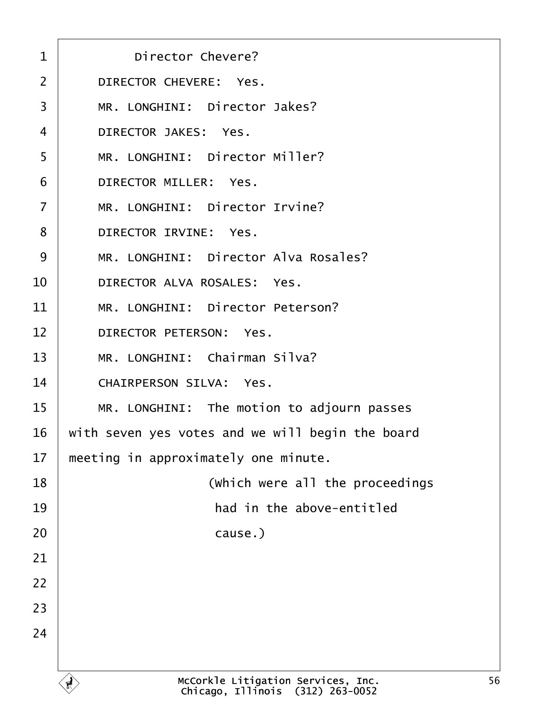<span id="page-55-0"></span>

| <b>Director Chevere?</b><br>$\mathbf 1$          |  |
|--------------------------------------------------|--|
| <b>DIRECTOR CHEVERE: Yes.</b>                    |  |
| MR. LONGHINI: Director Jakes?<br>3               |  |
| <b>DIRECTOR JAKES: Yes.</b>                      |  |
| MR. LONGHINI: Director Miller?                   |  |
| <b>DIRECTOR MILLER: Yes.</b>                     |  |
| MR. LONGHINI: Director Irvine?                   |  |
| <b>DIRECTOR IRVINE: Yes.</b><br>8                |  |
| MR. LONGHINI: Director Alva Rosales?             |  |
| DIRECTOR ALVA ROSALES: Yes.                      |  |
| MR. LONGHINI: Director Peterson?                 |  |
| 12<br><b>DIRECTOR PETERSON: Yes.</b>             |  |
| MR. LONGHINI: Chairman Silva?                    |  |
| <b>CHAIRPERSON SILVA: Yes.</b><br>14             |  |
| 15<br>MR. LONGHINI: The motion to adjourn passes |  |
| with seven yes votes and we will begin the board |  |
| meeting in approximately one minute.             |  |
| (Which were all the proceedings                  |  |
| had in the above-entitled                        |  |
| cause.)                                          |  |
| 21                                               |  |
| 22                                               |  |
| 23                                               |  |
|                                                  |  |
|                                                  |  |
|                                                  |  |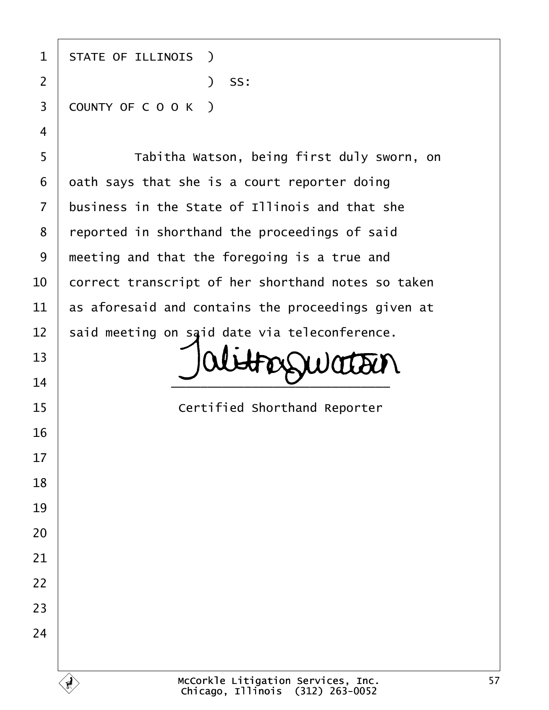<span id="page-56-0"></span>

| 1              | <b>STATE OF ILLINOIS</b> )                         |
|----------------|----------------------------------------------------|
| $\overline{2}$ | ) SS:                                              |
| 3              | COUNTY OF COOK)                                    |
| $\overline{4}$ |                                                    |
| 5              | Tabitha Watson, being first duly sworn, on         |
| 6              | dath says that she is a court reporter doing       |
| $\overline{7}$ | business in the State of Illinois and that she     |
| 8              | reported in shorthand the proceedings of said      |
| $9\,$          | meeting and that the foregoing is a true and       |
| 10             | correct transcript of her shorthand notes so taken |
| 11             | as aforesaid and contains the proceedings given at |
| 12             | said meeting on said date via teleconference.      |
| 13             |                                                    |
| 14             |                                                    |
| 15             | <b>Certified Shorthand Reporter</b>                |
| 16             |                                                    |
| 17             |                                                    |
| 18             |                                                    |
| 19             |                                                    |
| 20             |                                                    |
| 21             |                                                    |
| 22             |                                                    |
| 23             |                                                    |
| 24             |                                                    |
|                |                                                    |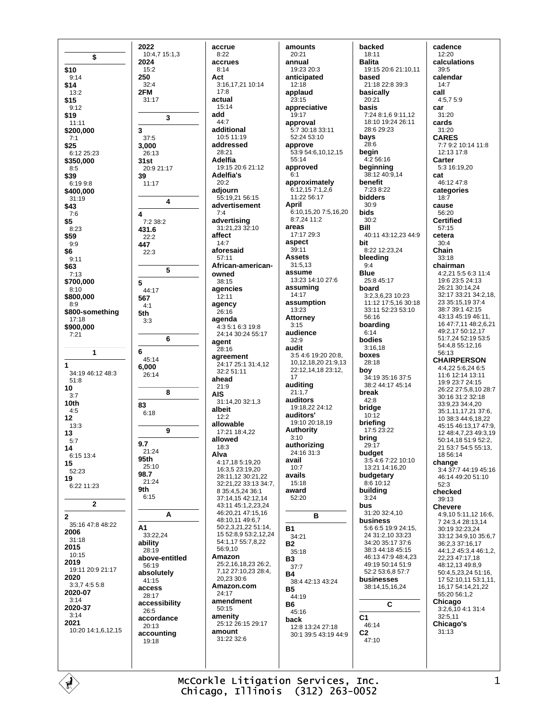\$ \$10  $9:14$ \$14  $13.2$ \$15  $9.12$ \$19  $11:11$ \$200.000  $7.1$ \$25 6:12 25:23 \$350,000  $8:5$ \$39  $6.1998$ \$400,000  $31:19$ \$43  $7:6$ \$5  $8:23$ \$59  $9:9$ \$6  $9.11$ \$63  $7:13$ \$700,000  $8:10$ \$800,000  $R - Q$ \$800-something 17:18 \$900,000  $7.21$  $\overline{1}$ 1  $34.1946.1248.3$  $51:8$  $10$  $3:7$  $10<sub>th</sub>$  $4.5$  $12$  $13:3$ 13  $5:7$ 14  $6.15134$ 15 52:23 19 6:22 11:23  $\overline{2}$  $\overline{2}$ 35:16 47:8 48:22 2006  $31:18$ 2015  $10:15$ 2019 19:11 20:9 21:17 2020  $3:3.74:55:8$ 2020-07  $3.14$ 2020-37  $3:14$ 2021 10:20 14:1 6 12 15

2022

2024

 $250$ 

 $15.2$ 

 $32:4$ 

31:17

 $37.5$ 

3,000

 $31st$ 

39

 $\overline{\mathbf{A}}$ 

26:13

 $11.17$ 

7:2 38:2

431.6

447

 ${\bf 5}$ 

567

5th

6

83

 $9.7$ 

 $95th$ 

98.7

9th

A1

33:22.24

ability

 $28.19$ 

56:19

 $41.15$ 

access

 $28.17$ 

26:5

 $20.13$ 

19:18

absolutely

accessibility

accordance

accounting

 $21:24$ 

25:10

21:24

 $6:15$ 

 $6:18$ 

 $4:1$ 

 $3:3$ 

45:14

26:14

6,000

 $22:2$ 

 $22:3$ 

44:17

20:9 21:17

2FM

3

10:4,7 15:1,3

3

 $\overline{4}$ 

5

6

8

9

 $\Delta$ 

accrue  $8:22$ accrues  $8.14$ **Act** 3:16,17,21 10:14  $17:8$ actual  $15:14$ add  $44.7$ additional 10:5 11:19 addressed  $28.21$ Adelfia  $19:1520:621:12$ Adelfia's  $20.2$ adiourn  $55:19.2156:15$ advertisement  $7:4$ advertising<br>31:21,23 32:10 affect  $14:7$ aforesaid  $57:11$ African-americanowned 38:15 agencies  $12:11$ agency 26:16 agenda 4:3 5:1 6:3 19:8 24:14 30:24 55:17 agent  $28.16$ agreement 24:17 25:1 31:4,12 32:2 51:11 ahead  $21:9$ **AIS** 31:14,20 32:1,3 albeit  $12:2$ allowable 17:21 18:4.22 allowed  $18.3$ Alva 4:17,18 5:19,20 16:3,5 23:19,20 28:11.12 30:21.22 32:21 22 33:13 34:7 8 35:4.5.24 36:1 37:14,15 42:12,14 43:11 45:1.2.23.24 46:20,21 47:15,16 48:10,11 49:6,7 50:2,3,21,22 51:14, 15 52:8,9 53:2,12,24 54:1,17 55:7,8,22 56:9.10 Amazon above-entitled 25:2,16,18,23 26:2,  $7.12$   $27:10.23$   $28:4$ .  $20.23.30.6$ Amazon.com  $24:17$ amendment  $50:15$ amenity 25:12 26:15 29:17 amount 31:22 32:6

amounts  $20:21$ annual  $19:23.20:3$ anticinated  $12.18$ applaud 23:15 appreciative  $19.17$ approval 5:7 30:18 33:11 52:24 53:10 approve  $53.9546101215$  $55:14$ approved  $6:1$ approximately  $6:12,157:1,2.6$ 11:22 56:17 April 6:10.15.20 7:5.16.20 8:7,24 11:2 areas 17:17 29:3 aspect  $39:11$ **Assets**  $31:513$ assume 13:23 14:10 27:6 assuming  $14.17$ assumption 13:23 **Attorney**  $3.15$ audience  $32.0$ audit 3:5 4:6 19:20 20:8, 10,12,18,20 21:9,13 22:12,14,18 23:12,  $17$ auditing  $21:1,7$ auditors 19:18 22 24:12 auditors' 19:10 20:18.19 **Authority**  $3:10$ authorizing 24:16 31:3 avail  $10.7$ avails 15:18 award  $52.20$ B **B1**  $34.21$ **B2** 35:18 **B3**  $37.7$ **B4** 38:4 42:13 43:24 **B5** 44:19 **B6** 45:16 back 12:8 13:24 27:18 30:1 39:5 43:19 44:9

backed 18:11 **Balita** 19:15 20:6 21:10.11 hased 21:18 22:8 39:3 basically 20:21 hasis  $7.2481691112$ 18:10 19:24 26:11 28:6 29:23 bays  $28:6$ begin  $4:256:16$ beginning 38:12 40:9,14 benefit 7:23 8:22 bidders  $30.9$ bids  $30:2$ Bill 40:11 43:12.23 44:9 bit 8:22 12:23,24 bleeding  $9.4$ **Blue**  $25.845.17$ board 3:2,3,6,23 10:23 11:12 17:5,16 30:18 33:11 52:23 53:10 56:16 boarding  $6:14$ hodies  $3:16,18$ boxes 28:18 boy  $34.19.35.16.37.5$ 38:2 44:17 45:14 break  $42:8$ bridge  $10.12$ briefing 17:5 23:22 bring 29:17 budget  $3.5467221010$ 13:21 14:16,20 budgetary 8:6 10:12 building  $3.24$ bus 31:20 32:4,10 **husiness** 5:6 6:5 19:9 24:15, 24 31:2,10 33:23 34:20 35:17 37:6 38:3 44:18 45:15 46:13 47:9 48:4.23 49:19 50:14 51:9 52:2 53:6.8 57:7 businesses 38:14,15,16,24  $\mathbf{C}$ C1 46:14  $C<sub>2</sub>$  $47:10$ 

cadence  $12:20$ calculations  $39.5$ calendar  $14.7$ call 4:5,7 5:9 **car**  $31:20$ cards 31:20 **CARES** 7:7 9:2 10:14 11:8  $12.13$  17.8 Carter 5:3 16:19.20 cat 46:12 47:8 categories  $18.7$ cause 56:20 **Certified**  $57:15$ cetera  $30.4$ Chain  $33:18$ chairman 4:2.21 5:5 6:3 11:4 19:6 23:5 24:13 26:21 30:14.24 32:17 33:21 34:2.18. 23 35:15.19 37:4 38:7 39:1 42:15 43:13 45:19 46:11. 16 47:7,11 48:2,6,21 49:2,17 50:12,17 51:7.24 52:19 53:5 54:4,8 55:12,16 56:13 **CHAIRPERSON** 4:4.22 5:6.24 6:5 11.6 12.14 13.11 19:9 23:7 24:15 26:22 27:5.8.10 28:7 30:16 31:2 32:18 33:9.23 34:4.20 35:1,11,17,21 37:6, 10 38:3 44:6,18,22 45:15 46:13,17 47:9, 12 48:4,7,23 49:3,19 50:14.18 51:9 52:2. 21 53:7 54:5 55:13, 18 56:14 change  $3.4\,37.7\,44.19\,45.16$ 46:14 49:20 51:10  $52.3$ checked 39:13 **Chevere** 4:9,10 5:11,12 16:6, 7 24:3 4 28:13 14  $30.1932.2324$ 33:12 34:9 10 35:6 7 36:2,3 37:16,17  $44.1245344612$ 22.23 47:17.18 48:12,13 49:8,9 50:4,5,23,24 51:16, 17 52:10,11 53:1,11, 16,17 54:14,21,22 55:20 56:1,2 Chicago  $3:2.6.104:131:4$  $32.511$ Chicago's  $31:13$ 

McCorkle Litigation Services, Inc. Chicago, Illinois (312) 263-0052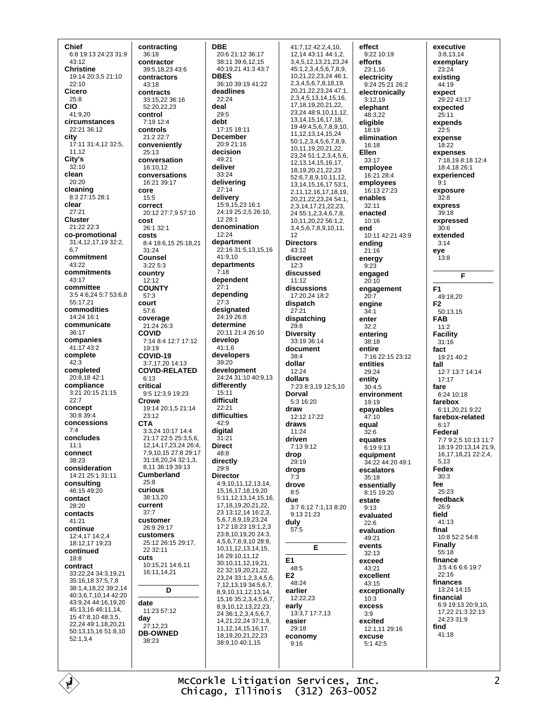Chief 6:8 19:13 24:23 31:9 43:12 **Christine** 19:14 20:3.5 21:10  $22.10$ Cicero 25:8 **CIO** 41:9,20 circumstances 22:21 36:12 city 17:11 31:4,12 32:5, 11,12 City's  $32.10$ clean 20:20 **cleaning**<br>8:3 27:15 28:1 clear  $27.21$ **Cluster** 21:22 22:3 co-promotional 31:4.12.17.19 32:2. 6.7 commitment 43:22 commitments 43:17 committee 3:5 4:6,24 5:7 53:6.8 55:17.21 commodities 14:24 16:1 communicate  $36:17$ companies 41:17 43:2 complete  $42:3$ completed  $20.81842.1$ compliance 3:21 20:15 21:15  $22:7$ concept  $30.8394$ concessions  $7:4$ concludes  $11:1$ connect  $38.23$ consideration 14:21 25:1 31:11 consulting 46:15 49:20 contact 28:20 contacts  $41.21$ continue 12:4.17 14:2.4 18:12 17 19:23 continued  $18:8$ contract 33:22,24 34:3,19,21  $35.161837578$ 38:1.4.18.22 39:2.14 40:3 6 7 10 14 42:20 43:9.24 44:16.19.20 45:13.16 46:11.14. 15 47:8.10 48:3.5. 22,24 49:1,18,20,21 50:13,15,16 51:8,10 52:1,3,4

contracting  $36:18$ contractor 39:5 18 23 43:6 contractors  $43.18$ contracts 33:15,22 36:16 52:20,22,23 control  $7.19121$ controls 21:2 22:7 conveniently  $25.13$ conversation 16:10.12 conversations 16:21 39:17 core  $15:5$ correct 20:12 27:7,9 57:10 cost  $26:1.32:1$ costs 8:4 18:6.15 25:18.21 31:24 Counsel 3:22 5:3 country  $12.12$ COUNTY  $57:3$ court  $57:6$ coverage 21:24 26:3 **COVID** 7:14 8:4 12:7 17:12  $19.19$ COVID-19 3:7.17.20 14:13 **COVID-RELATED**  $6.13$ critical 9:5 12:3,9 19:23 Crowe 19:14 20:1 5 21:14 23:12 **CTA** 3:3,24 10:17 14:4 21:17 22:5 25:3,5,6, 12, 14, 17, 23, 24 26: 4, 7.9.10.15 27:8 29:17 31:18,20,24 32:1,3, 8.11 36:19 39:13 Cumberland  $25:8$ curious 38:13,20 current  $37 - 7$ customer 26:9 29:17 customers 25:12 26:15 29:17. 22 32:11 cuts 10:15,21 14:6,11 16:11,14,21 D date 11:23 57:12 day  $27.12.23$ **DB-OWNED** 38:23

**DRF** 

**DBES** 

22:24

deal

 $29.5$ 

49:21

deliver

33:24

 $27:14$ 

12:24

 $7:18$ 

 $27.1$ 

 $27:3$ 

 $41:1,6$ 

 $39:20$ 

15:11

 $22.21$ 

42:9

digital

**Direct** 

48:8

29:9

 $31:21$ 

deht

20:6 21:12 36:17 38:11 39:6.12.15 40:19,21 41:3 43:7 36:10.39:19.41:22 deadlines 17:15 18:11 **December** 20:9 21:16 decision delivering delivery 15:9,15,23 16:1 24:19 25:2.5 26:10. 12 28:1 denomination 12 department 22:16 31:5,13,15,16  $41.910$ departments dependent depending designated 24:19 26:8 determine 20:11 21:4 26:10 develop developers dollar development 24:24 31:10 40:9.13 differently difficult draw difficulties draws driven drop directly drops **Director**  $7.3$ 4:9.10,11,12,13,14, drove 15.16.17.18.19.20  $8.5$ 5:11 12 13 14 15 16 due 17.18.19.20.21.22. 23 13:12,14 16:2,3, 5.6.7.8.9.19.23.24 duly 17:2 18:23 19:1.2.3  $57:5$ 23:8,10,19,20 24:3, 4,5,6,7,8,9,10 28:8, 10, 11, 12, 13, 14, 15, 16 29:10,11,12 E1 30:10,11,12,19,21, 22 32:19,20,21,22,  $E2$ 23.24 33:1.2.3.4.5.6. 7, 12, 13, 19 34: 5, 6, 7, 8,9,10,11,12,13,14, 15, 16 35: 2, 3, 4, 5, 6, 7, 8,9,10,12,13,22,23, early 24 36:1.2.3.4.5.6.7. 14 21 22 24 37 1 9 easier 11, 12, 14, 15, 16, 17, 18, 19, 20, 21, 22, 23 38:9 10 40:1 15

41:7.12 42:2.4.10. 12, 14 43: 11 44: 1, 2, 3,4,5,12,13,21,23,24 45:1,2,3,4,5,6,7,8,9, 10,21,22,23,24 46:1, 2,3,4,5,6,7,8,18,19, 20, 21, 22, 23, 24 47: 1, 2 3 4 5 13 14 15 16 17.18.19.20.21.22. 23 24 48 9 10 11 12 13 14 15 16 17 18 19 49:4.5.6.7.8.9.10. 11, 12, 13, 14, 15, 24 50:1.2.3.4.5.6.7.8.9. 10,11,19,20,21,22, 23,24 51:1,2,3,4,5,6, 12, 13, 14, 15, 16, 17, 18, 19, 20, 21, 22, 23 52:6,7,8,9,10,11,12, 13, 14, 15, 16, 17 53: 1, 2,11,12,16,17,18,19, 20, 21, 22, 23, 24 54: 1, 2,3,14,17,21,22,23, 24 55:1,2,3,4,6,7,8, 10.11.20.22.56:1.2. 3,4,5,6,7,8,9,10,11, **Directors** 43:12 discreet  $12.3$ discussed  $11:12$ discussions 17:20,24 18:2 dispatch  $27:21$ dispatching  $29:8$ **Diversity** 33:19 36:14 document  $38.4$ 12:24 dollars 7:23 8:3,19 12:5,10 Dorval 5:3 16:20 12:12 17:22  $11:24$ 7:13 9:12  $29:19$ 3:7 6:12 7:1.13 8:20  $9:1321:23$ E 48:5  $48.24$ earlier 12:22,23 13:3,7 17:7,13  $29.18$ economy  $9.16$ 

effect 9:22 10:19 efforts  $23.116$ electricity 9:24 25:21 26:2 electronically  $3:12,19$ elephant  $48:322$ eligible  $18:19$ elimination 16:18 **Ellen** 33:17 employee 16:21 28:4 employees 16:13 27:23 enables  $32.11$ enacted  $10:16$ end 10:11 42:21 43:9 ending  $21:16$ energy  $9.23$ engaged  $20:10$ engagement  $20:7$ engine  $31.1$ enter  $32:2$ entering  $38.18$ entire 7:16 22:15 23:12 entities 29:24 entity  $30.45$ environment 19:19 epayables  $47:10$ equal  $32.6$ equates  $6.19913$ equipment 34:22 44:20 49:1 escalators 35:18 essentially 8:15 19:20 estate  $9:13$ evaluated  $22:6$ evaluation 49:21 events  $32.13$ exceed 43:21 excellent  $43.15$ exceptionally  $10:3$ excess  $3:9$ excited 12:1,11 29:16 excuse  $5.142.5$ 

executive  $3:8.13.14$ exemplary  $23.24$ existina 44:19 expect 29:22 43:17 expected  $25.11$ expends  $22:5$ expense  $18:22$ expenses 7:18,19 8:18 12:4 18:4 18 26:1 experienced  $9:1$ exposure  $32.8$ express  $39:18$ expressed  $30:6$ extended  $3:14$ eye  $13:8$  $\overline{\mathbf{r}}$ F<sub>1</sub> 49:18,20  $F2$ 50:13.15 **FAB**  $11:2$ **Facility**  $31.16$ fact 19:21 40:2 fall 12:7 13:7 14:14  $17:17$ fare  $6.2410.18$ farebox 6:11,20,21 9:22 farebox-related  $6.17$ **Federal** 7:7 9:2,5 10:13 11:7 18:19 20:13,14 21:9, 16, 17, 18, 21 22: 2, 4, 5 1 3 Fedex  $30.3$ fee  $25.23$ feedback 26:9 field  $41:13$ final 10:8 52:2 54:8 **Finally**  $55:18$ finance  $3.54666197$  $22:16$ finances 13:24 14:15 financial 6:9 19:13 20:9 10 17,22 21:3 22:13  $24.23.31.9$ find  $41.18$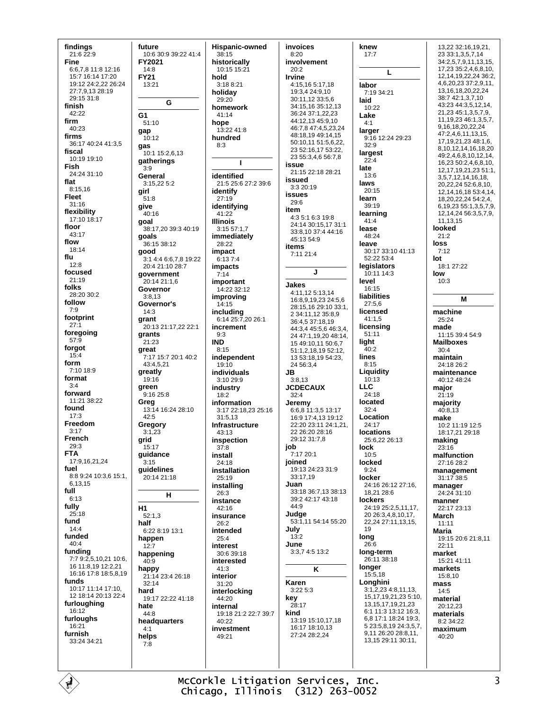findings 21:6 22:9 **Fine** 66781181216 15:7 16:14 17:20 19:12 24:2 22 26:24 27.7 9 13 28:19 29:15 31:8 finish 42:22 firm  $40.23$ firms 36:17 40:24 41:3.5 fiscal 10:19 19:10 **Fish**  $24.24.31.10$ flat 8:15,16 **Fleet**  $31:16$ flexibility 17:10 18:17 floor 43:17 flow 18:14 flu  $12:8$ focused  $21:19$ folks  $28.2030.2$ follow  $7:9$ footprint  $27.1$ foregoing  $57$ forgot  $15:4$ form  $7.10189$ format  $3:4$ forward 11:21 38:22 found  $17:3$ Freedom  $3:17$ **French**  $29.3$ **FTA** 17:9,16,21,24 fuel 8:8 9:24 10:3.6 15:1. 6,13,15 full  $6:13$ fully  $25:18$ fund  $14.4$ funded  $40:4$ funding 7:7 9:2,5,10,21 10:6, 16 11:8.19 12:2.21 16:16 17:8 18:5,8,19 funds 10:17 11:14 17:10. 12 18:14 20:13 22:4 furloughing 16:12 furloughs 16:21 furnish 33:24 34:21

future 10:6 30:9 39:22 41:4 FY2021  $14.8$ **FY21**  $13.21$ G G<sub>1</sub>  $51:10$ gap  $10.12$ qas 10:1 15:2,6.13 gatherings  $3:9$ General  $3.152252$ girl  $51:8$ give 40:16 goal 38:17,20 39:3 40:19 goals 36:15 38:12 good 3:1 4:4 6:6,7,8 19:22  $20.421.1028.7$ government 20:14 21:1,6 Governor  $3:8.13$ Governor's  $14.3$ grant 20:13 21:17,22 22:1 grants  $21.23$ great 7:17 15:7 20:1 40:2 43:4,5,21 greatly  $19:16$ green  $9.1625.8$ Greg 13:14 16:24 28:10  $42:5$ Gregory  $3:1.23$ grid  $15:17$ guidance  $3.15$ guidelines 20:14 21:18 н H<sub>1</sub>  $52:1.3$ half 6:22 8:19 13:1 happen  $12:7$ happening  $40.9$ **happy**<br>21:14 23:4 26:18  $32.14$ hard 19:17 22:22 41:18 hate 44:8 headquarters  $4:1$ helps  $7.8$ 

**Hispanic-owned**  $38:15$ historically  $10:15.15:21$ hold  $3.188.21$ holiday 29:20 homework  $41.14$ hope 13:22 41:8 hundred  $\blacksquare$ identified 21:5 25:6 27:2 39:6 identify  $27:19$ identifying 41:22 **Illinois** 3:15 57:1,7 immediately 28:22 impact  $6.1374$ impacts  $7:14$ important 14:22 32:12 improving  $14.15$ including 6:14 25:7,20 26:1 increment  $8:15$ independent  $19:10$ individuals  $3:1029:9$ industry  $18:2$ information 3:17 22:18,23 25:16  $31:5.13$ Infrastructure 43:13 inspection  $37.8$ install 24:18 installation  $25:19$ installing  $26:3$ instance  $42.16$ insurance 26:2 intended  $25.4$ interest 30:6 39:18 interested  $41:3$ interior 31:20 interlocking 44:20 internal 19:18 21:2 22:7 39:7  $40.22$ investment 49:21

 $8:3$ 

 $9.3$ 

**IND** 

invoices  $8:20$ involvement  $20.2$ Irvine 4:15.16 5:17.18 19:3,4 24:9,10 30:11,12 33:5,6 34:15,16 35:12,13 36:24 37:1,22,23 44:12,13 45:9,10 46:7,8 47:4,5,23,24 48:18,19 49:14,15 50:10,11 51:5,6,22, 23 52:16,17 53:22, 23 55:3 4 6 56:7 8 issue 21:15 22:18 28:21 issued 3:3 20:19 **issues**  $29.6$ item 4:3 5:1 6:3 19:8 24:14 30:15.17 31:1 33:8,10 37:4 44:16 45:13 54:9 items 7:11 21:4 J **Jakes** 4:11,12 5:13,14 16:8.9.19.23 24:5.6 28:15.16 29:10 33:1. 2 34:11,12 35:8,9 36:4,5 37:18,19 44:3,4 45:5,6 46:3,4, 24 47:1,19,20 48:14, 15 49:10,11 50:6,7 51:1,2,18,19 52:12, 13 53:18.19 54:23. 24 56:3,4 JB.  $3.813$ **JCDECAUX**  $32:4$ Jeremv 6:6.8 11:3.5 13:17 16:9 17:4.13 19:12 22:20 23:11 24:1.21. 22.26:20.28:16 29:12 31:7 8 job 7:17 20:1 joined 19:13 24:23 31:9 33:17.19 Juan 33:18 36:7,13 38:13 39:2 42:17 43:18  $44:9$ Judge 53:1.11 54:14 55:20 July  $13.2$ June 3:3,7 4:5 13:2 ĸ Karen  $3.22.5.3$ key  $28:17$ kind 13:19 15:10,17,18 16:17 18:10,13 27:24 28:2.24

knew  $17:7$  $\mathbf{L}$ labor 7:19 34:21 laid  $10.22$ Lake larger 9:16 12:24 29:23  $32:9$ largest  $22:4$ late  $13:6$ laws  $20.15$ learn 39:19 learning  $41.4$ lease 48:24 leave 30:17 33:10 41:13 52:22 53:4 legislators  $10.1114.3$ level  $16:15$ liabilities  $27:56$ licensed  $41:1,5$ licensing  $51:11$ light  $40:2$ lines  $8:15$ Liauidity  $10:13$  $11C$  $24.18$ located  $32:4$ Location  $24.17$ **locations** 25:6,22 26:13 lock  $10:5$ locked  $9:24$ locker 24:16 26:12 27:16, 18.21 28:6 lockers  $24:1925:2.5.11.17$ . 20 26:3.4.8.10.17. 22,24 27:11,13,15, 19 long  $26:6$ long-term 26:11 38:18 longer  $15:5,18$ Longhini  $3:1,2,23$  4:8,11,13, 15, 17, 19, 21, 23 5: 10, 13.15.17.19.21.23 6:1 11:3 13:12 16:3 6.8 17:1 18:24 19:3.  $5.23:5.8.19.24:3.5.7$ 9.11 26:20 28:8,11, 13,15 29:11 30:11,

13.22 32:16.19.21. 23 33:1,3,5,7,14 34:2,5,7,9,11,13,15, 17,23 35:2,4,6,8,10, 12, 14, 19, 22, 24 36: 2, 4,6,20,23 37:2,9,11, 13, 16, 18, 20, 22, 24 38.742.13710 43:23 44:3,5,12,14, 21 23 45 1 3 5 7 9 11.19.23 46:1.3.5.7. 9.16.18.20.22.24 47:2,4,6,11,13,15, 17 19 21 23 48 1 6 8,10,12,14,16,18,20 49:2,4,6,8,10,12,14, 16,23 50:2,4,6,8,10, 12,17,19,21,23 51:1, 3,5,7,12,14,16,18, 20,22,24 52:6,8,10, 12, 14, 16, 18 53: 4, 14, 18,20,22,24 54:2,4, 6, 19, 23 55: 1, 3, 5, 7, 9, 12, 14, 24 56: 3, 5, 7, 9, 11.13.15 looked  $21.2$ loss  $7:12$ lot  $18:127:22$ low  $10:3$ M machine  $25.24$ made  $11:15.39:4.54:9$ **Mailboxes**  $30.4$ maintain 24:18 26:2 maintenance 40.12 48:24 major  $21:19$ majority  $40:8.13$ make 10:2 11:19 12:5 18:17,21 29:18 making  $23.16$ malfunction  $27.1628.2$ management 31:17 38:5 manager  $24.24.31.10$ manner  $22.1723.13$ March  $11:11$ Maria  $19:1520:621:8.11$  $22.11$ market 15:21 41:11 markets  $15.810$ mass  $14:5$ material  $20.12.23$ materials  $8.234.22$ maximum 40:20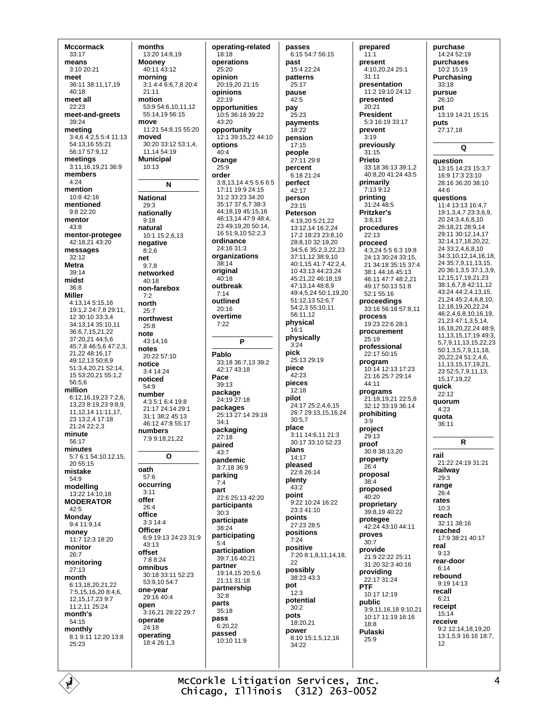**Mccormack**  $33:17$ means  $3:10.20:21$ meet 36:11 38:11,17,19  $40.18$ meet all  $22.23$ meet-and-greets  $30.24$ meeting 3:4,6 4:2,5 5:4 11:13 54:13.16 55:21 56:17.57:9.12 meetings  $3:11.16.19.21.36:9$ members  $4:24$ mention 10:8 42:16 mentioned  $9.822.20$ mentor  $43:8$ mentor-protegee 42.18.21.43.20 messages  $32.12$ **Metra** 39:14 midst  $36.8$ **Miller** 4:13,14 5:15,16 19:1,2 24:7,8 29:11, 12 30:10 33:3.4 34:13,14 35:10,11 36:6.7.15.21.22 37:20.21 44:5.6 45:7,8 46:5,6 47:2,3, 21 22 48 16 17 49:12 13 50:8 9 51:3,4,20,21 52:14, 15 53:20.21 55:1.2  $56:56$ million 6:12,16,19,23 7:2,6, 13.23 8:19.23 9:8.9. 11.12.14 11:11.17. 23 13:2,4 17:18 21:24 22:2,3 minute  $56.17$ minutes 5:7 6:1 54:10,12,15, 20 55:15 mistake  $54.9$ modelling 13:22 14:10,18 **MODERATOR** 42:5 **Monday** 9:4 11:9.14 money 11:7 12:3 18:20 monitor  $26:7$ monitoring  $27:13$ month 6:13,18,20,21,22 7:5,15,16,20 8:4,6, 12.15.17.23 9:7 11:2,11 25:24 month's 54:15 monthly 8:1 9:11 12:20 13:8  $25.23$ 

months 13:20 14:8,19 **Mooney**  $40.1143.12$ mornina 3:1 4:4 6:6.7.8 20:4  $21:11$ motion 53:9 54:6 10 11 12 55:14,19 56:15 move 11:21 54:8,15 55:20 moved 30:20 33:12 53:1,4, 11,14 54:19 **Municipal**  $10.13$ N **National** 29:3 nationally  $9.18$ natural 10:1 15:2,6,13 negative  $8:2.6$ net  $9:7.8$ networked  $40.18$ non-farebox  $7:2$ north  $25.7$ northwest  $25.8$ note 43:14,16 notes  $20.22.57.10$ notice 3:4 14:24 noticed  $54:9$ number 4:3 5:1 6:4 19:8 21:17 24:14 29:1 31:1 38:2 45:13 46:12 47:8 55:17 numbers 7:9 9:18.21.22  $\Omega$ oath  $57.6$ occurring  $3:11$ offer 26:4 office  $3.3144$ **Officer** 6:9 19:13 24:23 31:9  $43:13$ offset  $7.88.24$ omnibus 30:18 33:11 52:23 53:9,10 54:7 one-vear 29:16 40:4 open 3:16.21 28:22 29:7 operate 24:18 operating 18:4 26:1.3

operating-related .<br>18:18 operations  $25.20$ oninion 20:19.20 21:15 opinions 22:19 opportunities  $10.5.36.18.39.22$  $43.20$ opportunity 12:1 39:15,22 44:10 options  $40.4$ Orange  $25.9$ order 3:8,13,14 4:5 5:6 6:5 17:11 19:9 24:15 31:2 33:23 34:20 35:17 37:6.7 38:3 44:18 19 45:15 16 46:13,14 47:9 48:4, 23 49:19 20 50:14 16 51:9.10 52:2.3 ordinance 24:16 31:3 organizations  $38:14$ original  $40:18$ outbreak  $7:14$ outlined  $20:16$ overtime  $7:22$ Þ Pablo 33:18 36:7.13 39:2 42:17 43:18 Pace  $39.13$ package 24:19 27:18 packages 25:13 27:14 29:19  $34.1$ packaging  $27:18$ paired  $43.7$ pandemic 3:7.18 36:9 parking  $7:4$ part 22:6 25:13 42:20 participants  $30.3$ participate 38:24 participating  $5.4$ participation 39:7,16 40:21 partner 19:14,15 20:5,6  $21.11.31.18$ partnership  $32.8$ parts  $35:18$ pass  $6.20.22$ passed 10:10 11:9

passes 6:15 54:7 56:15 nast  $15:422:24$ patterns  $25:17$ pause 42:5 pay  $25.23$ payments 18:22 pension  $17:15$ people 27:11 29:8 percent 6:18 21:24 perfect 42:17 person  $23.15$ Peterson 4:19.20 5:21.22 13:12,14 16:2,24 17:2 18:23 23:8 10 28.8 10 32:19 20 34:5.6 35:2.3.22.23 37:11 12 38:9 10 40:1.15 41:7 42:2.4. 10 43:13 44:23.24 45:21,22 46:18,19 47:13.14 48:8.9 49:4,5,24 50:1,19,20 51:12,13 52:6,7 54:2,3 55:10,11 56:11.12 physical  $16.1$ physically  $3.24$ pick 25:13.29:19 piece  $42.23$ pieces  $12:18$ pilot 24:17 25:2,4,6,15 26.7.29.13.15.16.24  $30:57$ place 3:11 14:6,11 21:3 30:17 33:10 52:23 plans 14:17 pleased  $22.826.14$ plenty  $43:2$ point 9.22 10:24 16:22 23:3 41:10 points 27:23 28:5 positions  $7:24$ positive 7:20 8:1.8.11.14.18.  $22$ possibly 38:23 43:3 pot  $12.3$ potential  $30.2$ pots 18:20,21 power 8:10 15:1 5 12 16  $34.22$ 

prepared  $11:1$ present 4:10,20,24 25:1  $31:11$ presentation 11:2 19:10 24:12 presented  $20.21$ **President** 5:3 16:19 33:17 prevent  $3:19$ previously  $31.15$ Prieto 33:18.36:13.39:1.2 40:8,20 41:24 43:5 primarily 7:13 9:12 printing  $31.24\ \text{Å}8.5$ **Pritzker's**  $3:8.13$ procedures  $22.13$ proceed 4:3,24 5:5 6:3 19:8 24:13 30:24 33:15. 21 34:18 35:15 37:4 38:1 44:16 45:13 46:11 47:7 48:2,21 49:17 50:13 51:8 52:1 55:16 proceedings 33:16 56:18 57:8,11 process 19:23 22:6 28:1 procurement  $25:19$ professional  $22.1750.15$ program 10:14 12:13 17:23 21:16 25:7 29:14  $44.11$ programs 21:18,19,21 22:5,8 32:12 33:19 36:14 prohibiting  $3:9$ project 29:13 proof 30:8 38:13.20 property  $26.4$ proposal  $38:4$ proposed  $40:20$ proprietary 39:8,19 40:22 protegee 42.24 43.10 44.11 proves  $30:7$ provide 21:9 22:22 25:11  $31:20.32:3.40:16$ providing 22:17 31:24 PTF 10:17 12:19 **nublic** 3:9.11.16.18 9:10 21 10:17 11:19 16:16  $18:8$ Pulaski  $25.9$ 

purchase 14:24 52:19 purchases  $10.215.19$ Purchasing  $33.18$ pursue 26:10 nut 13:19 14:21 15:15 puts 27:17,18  $\Omega$ question 13:15 14:23 15:3,7 16:9 17:3 23:10 28:16 36:20 38:10  $44.6$ **auestions** 11:4 13:13 16:4,7 19:1,3,4,7 23:3,6,9, 20 24:3,4,6,8,10 26:18,21 28:9,14 29:11 30:12,14,17 32:14,17,18,20,22, 24 33:2,4,6,8,10 34:3,10,12,14,16,18, 24 35:7,9,11,13,15, 20 36:1,3,5 37:1,3,9, 12, 15, 17, 19, 21, 23 38:1 6 7 8 42:11 12 43:24 44:2,4,13,15, 21,24 45:2,4,6,8,10, 12 18 19 20 22 24 46:2.4.6.8.10.16.19. 21,23 47:1,3,5,14, 16, 18, 20, 22, 24 48: 9, 11, 13, 15, 17, 19 49: 3, 5,7,9,11,13,15,22,23 50:1,3,5,7,9,11,18, 20,22,24 51:2,4,6, 11.13.15.17.19.21. 23 52:5,7,9,11,13, 15 17 19 22 quick  $22.12$ quorum  $4:23$ quota 36:11  $\mathbf{R}$ rail 21.22.24.19.31.21 Railway  $29:3$ range  $26:4$ rates  $10:3$ reach 32:11 38:16 reached 17:9 38:21 40:17 real  $9.13$ rear-door  $6:14$ rebound  $9.1914.13$ recall  $6:21$ receipt  $15:14$ receive 9:2 12:14,18,19,20 13:1,5,9 16:16 18:7,  $12<sup>12</sup>$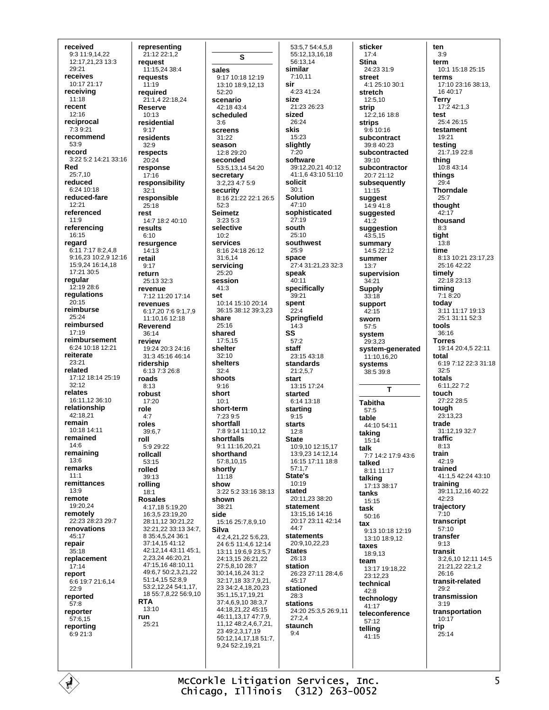received 9:3 11:9,14,22 12:17.21.23 13:3 29:21 receives  $10.1721117$ receiving  $11:18$ recent 12:16 reciprocal  $7:39:21$ recommend 53:9 record 3:22 5:2 14:21 33:16 Red 25:7.10 reduced 6:24 10:18 reduced-fare  $12.21$ referenced  $11:9$ referencing  $16:15$ regard 6:11 7:17 8:2,4,8 9:16.23 10:2.9 12:16 15:9,24 16:14,18 17:21 30:5 regular 12:19 28:6 regulations  $20.15$ reimburse 25:24 reimbursed  $17:19$ reimbursement 6:24 10:18 12:21 reiterate 23:21 related 17:12 18:14 25:19  $32.12$ relates 16:11,12 36:10 relationship  $42.1821$ remain  $10.181411$ remained  $14:6$ remaining  $13:6$ remarks  $11:1$ remittances  $13:9$ remote 19:20,24 remotely 22:23 28:23 29:7 renovations  $45.17$ repair  $35:18$ replacement  $17:14$ report 6:6 19:7 21:6.14  $22.9$ reported  $57:8$ reporter  $57.615$ reporting  $6:921:3$ 

representing 21:12 22:1.2 request  $11.1524384$ requests  $11:19$ required 21:1,4 22:18,24 **Reserve**  $10.13$ residential  $9:17$ residents  $32:9$ respects 20:24 response  $17:16$ responsibility  $32:1$ responsible  $25:18$ rest 14:7 18:2 40:10 results  $6.10$ resurgence  $14:13$ retail  $9.17$ return  $25.13.32.3$ revenue 7:12 11:20 17:14 revenues 6:17.20 7:6 9:1.7.9 11:10 16 12:18 Reverend  $36:14$ review 19:24 20:3 24:16 31:3 45:16 46:14 ridership  $6:137:326:8$ roads  $8:13$ robust  $17.20$ role  $4:7$ roles 39:6.7 roll 5:9 29:22 rollcall  $53.15$ rolled  $30.13$ rolling  $18:1$ **Rosales** 4:17,18 5:19,20 16:3,5 23:19,20 28.11 12 30:21 22  $32.21$  22  $33.13$   $34.7$ 8 35:4.5.24 36:1  $37.14$  15 41.12 42.12.14 43:11 45:1. 2.23.24 46:20.21 47:15,16 48:10,11 49:6,7 50:2,3,21,22 51:14,15 52:8.9 53:2,12,24 54:1,17, 18 55:7,8,22 56:9,10 **RTA**  $13:10$ run 25:21

S sales 9:17 10:18 12:19 13:10 18:9,12,13 sir  $52:20$ scenario  $42.1843.4$ scheduled screens 31:22 season 12:8 29:20 seconded 53:5,13,14 54:20 secretary<br>3:2,23 4:7 5:9 security 8:16 21:22 22:1 26:5  $52:3$ **Seimetz**  $3:23.5:3$ selective  $10.2$ **services** 8:16 24:18 26:12 31:6.14 servicing  $25:20$ session  $41:3$ 10:14 15:10 20:14 36:15 38:12 39:3,23 share  $25.16$ shared SS 17:5,15 shelter  $32.10$ shelters  $32.4$ shoots short short-term  $7.2395$ shortfall 7:8 9:14 11:10.12 shortfalls 9:1 11:16.20 21 shorthand 57:8,10,15 shortly  $11.18$ show 3:22.5:2.33:16.38:13 shown  $38.21$ 15:16 25:7,8,9,10 **Silva** 4:2,4,21,22 5:6,23, 24 6:5 11:4,6 12:14 13:11 19:6,9 23:5,7 24:13,15 26:21,22 27:5,8,10 28:7 30:14,16,24 31:2 32.17 18 33.7 9 21 23 34:2,4,18,20,23 35:1 15 17 19 21  $37.469103837$ 44:18 21 22 45:15 46:11,13,17 47:7,9 11.12 48:2.4.6.7.21. 23 49:2.3.17.19 50:12,14,17,18 51:7, 9,24 52:2,19,21

 $3.6$ 

set

 $9:16$ 

 $10.1$ 

side

 $53.5754458$ 55:12,13,16,18 56:13.14 similar  $7:10.11$  $4.2341.24$ size 21:23 26:23 sized  $26.24$ skis 15:23 slightly  $7.20$ software 39:12.20.21 40:12 41:1.6 43:10 51:10 solicit  $30:1$ **Solution**  $47.10$ sophisticated  $27:19$ south  $25:10$ southwest  $25:9$ space 27:4 31:21.23 32:3 speak  $40:11$ specifically 39:21 spent  $22.4$ Springfield  $14:3$  $57:2$ staff  $23.1543.18$ standards  $21:2.5.7$ start 13:15 17:24 started  $6.1413.18$ starting  $9:15$ starts  $12:8$ **State** 10:9,10 12:15,17 13:9,23 14:12,14 16:15 17:11 18:8  $57:1.7$ State's  $10:19$ stated 20:11,23 38:20 statement 13:15,16 14:16 20:17 23:11 42:14  $44.7$ statements 20:9 10 22 23 **States** 26:13 station 26:23 27:11 28:4,6  $45.17$ stationed 28:3 stations 24:20 25:3,5 26:9,11  $27:2,4$ staunch  $Q \cdot \Delta$ 

sticker  $17:4$ **Stina** 24:23 31:9 **street**  $4.125.1030.1$ stretch 12:5,10 strip  $12.21618.8$ strips 9:6 10:16 subcontract 39:8 40:23 subcontracted 39:10 subcontractor 20:7 21:12 subsequently  $11:15$ suggest 14:9 41:8 suggested  $41:2$ suggestion  $43.515$ summary 14:5 22:12 summer  $13.7$ supervision  $34:21$ **Supply**  $33:18$ support sworn 57:5 system 29:3.23 system-generated 11:10,16,20 systems 38:5 39:8  $\mathbf{r}$ **Tabitha**  $57:5$ table 44:10 54:11 taking 15:14 talk 7.7 14.2 17.9 43.6 talked 8:11 11:17 talking 17:13 38:17 tanks  $15:15$ task  $50.16$ tax 9:13 10:18 12:19  $13.1018.912$ taxes 18:9,13 team 13:17 19:18,22  $23.12.23$ technical  $A2.8$ technoloav  $41.17$ teleconference  $57.12$ telling 41:15

ten  $3:9$ term 10:1 15:18 25:15 terms 17:10 23:16 38:13,  $1640.17$ Terry<br>17:2 42:1,3 test  $25.426.15$ testament 19:21 testing 21:7.19 22:8 thing 10:8 43:14 things  $29:4$ **Thorndale**  $25.7$ thought  $42:17$ thousand  $8:3$ tight  $13:8$ time 8:13 10:21 23:17,23  $25.1642.22$ timely 22:18 23:13 timing  $7:18:20$ today 3:11 11:17 19:13 25:1 31:11 52:3 tools  $36:16$ **Torres** 19:14 20:4,5 22:11 total 6:19 7:12 22:3 31:18  $32.5$ totals 6:11,227:2 touch 27:22 28:5 tough  $23.13.23$ trade 31:12,19 32:7 traffic  $8.13$ train  $42:19$ trained 41:1,5 42:24 43:10 training 39:11, 12, 16 40:22  $42.23$ trajectory  $7:10$ transcript  $57.10$ transfer  $9:13$ transit 3:2,6,10 12:11 14:5 21:21,22 22:1,2  $26:16$ transit-related  $29.2$ transmission  $3:19$ transportation  $10:17$ trip  $25:14$